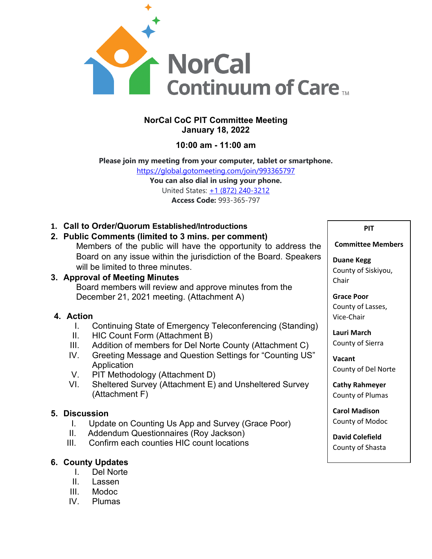

## **NorCal CoC PIT Committee Meeting January 18, 2022**

## **10:00 am - 11:00 am**

# **Please join my meeting from your computer, tablet or smartphone.**

<https://global.gotomeeting.com/join/993365797> **You can also dial in using your phone.** United States: [+1 \(872\) 240-3212](tel:+18722403212,,993365797)

**Access Code:** 993-365-797

**1. Call to Order/Quorum Established/Introductions**

## **2. Public Comments (limited to 3 mins. per comment)**

Members of the public will have the opportunity to address the Board on any issue within the jurisdiction of the Board. Speakers will be limited to three minutes.

## **3. Approval of Meeting Minutes**

Board members will review and approve minutes from the December 21, 2021 meeting. (Attachment A)

## **4. Action**

- I. Continuing State of Emergency Teleconferencing (Standing)
- II. HIC Count Form (Attachment B)
- III. Addition of members for Del Norte County (Attachment C)
- IV. Greeting Message and Question Settings for "Counting US" **Application**
- V. PIT Methodology (Attachment D)
- VI. Sheltered Survey (Attachment E) and Unsheltered Survey (Attachment F)

## **5. Discussion**

- I. Update on Counting Us App and Survey (Grace Poor)
- II. Addendum Questionnaires (Roy Jackson)
- III. Confirm each counties HIC count locations

## **6. County Updates**

- I. Del Norte
- II. Lassen
- III. Modoc<br>IV. Plumas
- Plumas

# **PIT**

#### **Committee Members**

**Duane Kegg** County of Siskiyou, Chair

**Grace Poor** County of Lasses, Vice-Chair

**Lauri March** County of Sierra

**Vacant** County of Del Norte

**Cathy Rahmeyer** County of Plumas

**Carol Madison** County of Modoc

**David Colefield** County of Shasta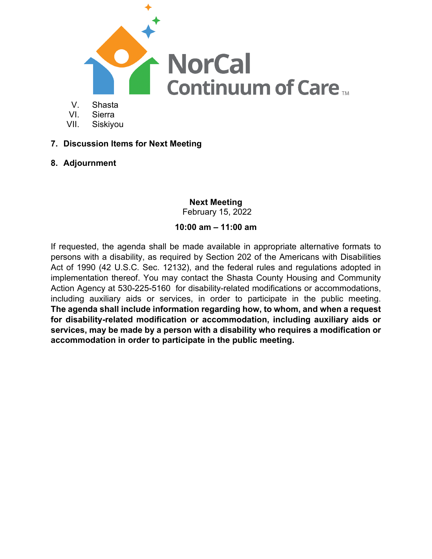

- VI. Sierra
- 
- VII. Siskiyou
- **7. Discussion Items for Next Meeting**
- **8. Adjournment**

**Next Meeting**  February 15, 2022

# **10:00 am – 11:00 am**

If requested, the agenda shall be made available in appropriate alternative formats to persons with a disability, as required by Section 202 of the Americans with Disabilities Act of 1990 (42 U.S.C. Sec. 12132), and the federal rules and regulations adopted in implementation thereof. You may contact the Shasta County Housing and Community Action Agency at 530-225-5160 for disability-related modifications or accommodations, including auxiliary aids or services, in order to participate in the public meeting. **The agenda shall include information regarding how, to whom, and when a request for disability-related modification or accommodation, including auxiliary aids or services, may be made by a person with a disability who requires a modification or accommodation in order to participate in the public meeting.**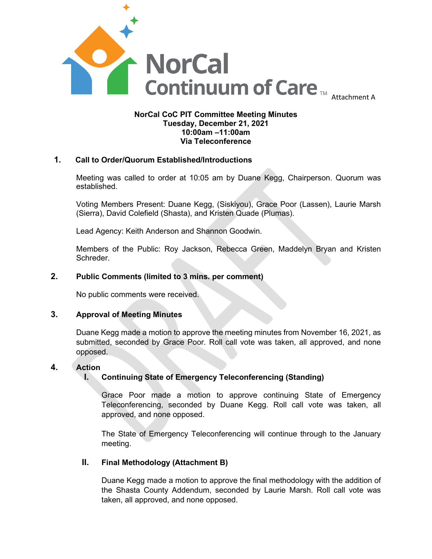

#### **NorCal CoC PIT Committee Meeting Minutes Tuesday, December 21, 2021 10:00am –11:00am Via Teleconference**

#### **1. Call to Order/Quorum Established/Introductions**

Meeting was called to order at 10:05 am by Duane Kegg, Chairperson. Quorum was established.

Voting Members Present: Duane Kegg, (Siskiyou), Grace Poor (Lassen), Laurie Marsh (Sierra), David Colefield (Shasta), and Kristen Quade (Plumas).

Lead Agency: Keith Anderson and Shannon Goodwin.

Members of the Public: Roy Jackson, Rebecca Green, Maddelyn Bryan and Kristen Schreder.

#### **2. Public Comments (limited to 3 mins. per comment)**

No public comments were received.

#### **3. Approval of Meeting Minutes**

Duane Kegg made a motion to approve the meeting minutes from November 16, 2021, as submitted, seconded by Grace Poor. Roll call vote was taken, all approved, and none opposed.

#### **4. Action**

#### **I. Continuing State of Emergency Teleconferencing (Standing)**

Grace Poor made a motion to approve continuing State of Emergency Teleconferencing, seconded by Duane Kegg. Roll call vote was taken, all approved, and none opposed.

The State of Emergency Teleconferencing will continue through to the January meeting.

#### **II. Final Methodology (Attachment B)**

Duane Kegg made a motion to approve the final methodology with the addition of the Shasta County Addendum, seconded by Laurie Marsh. Roll call vote was taken, all approved, and none opposed.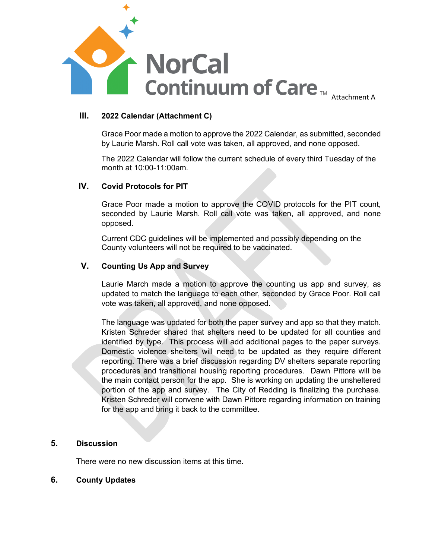

#### **III. 2022 Calendar (Attachment C)**

Grace Poor made a motion to approve the 2022 Calendar, as submitted, seconded by Laurie Marsh. Roll call vote was taken, all approved, and none opposed.

The 2022 Calendar will follow the current schedule of every third Tuesday of the month at 10:00-11:00am.

#### **IV. Covid Protocols for PIT**

Grace Poor made a motion to approve the COVID protocols for the PIT count, seconded by Laurie Marsh. Roll call vote was taken, all approved, and none opposed.

Current CDC guidelines will be implemented and possibly depending on the County volunteers will not be required to be vaccinated.

#### **V. Counting Us App and Survey**

Laurie March made a motion to approve the counting us app and survey, as updated to match the language to each other, seconded by Grace Poor. Roll call vote was taken, all approved, and none opposed.

The language was updated for both the paper survey and app so that they match. Kristen Schreder shared that shelters need to be updated for all counties and identified by type. This process will add additional pages to the paper surveys. Domestic violence shelters will need to be updated as they require different reporting. There was a brief discussion regarding DV shelters separate reporting procedures and transitional housing reporting procedures. Dawn Pittore will be the main contact person for the app. She is working on updating the unsheltered portion of the app and survey. The City of Redding is finalizing the purchase. Kristen Schreder will convene with Dawn Pittore regarding information on training for the app and bring it back to the committee.

#### **5. Discussion**

There were no new discussion items at this time.

#### **6. County Updates**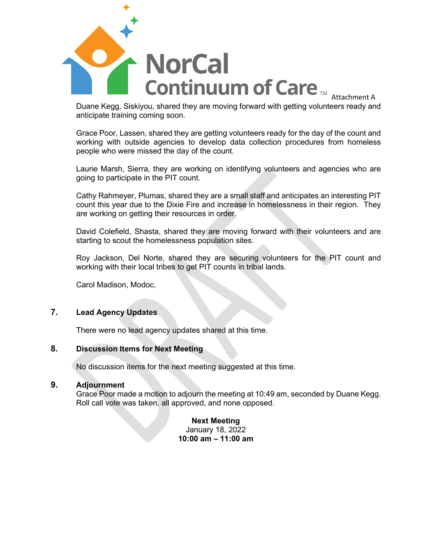

Duane Kegg, Siskiyou, shared they are moving forward with getting volunteers ready and anticipate training coming soon.

Grace Poor, Lassen, shared they are getting volunteers ready for the day of the count and working with outside agencies to develop data collection procedures from homeless people who were missed the day of the count.

Laurie Marsh, Sierra, they are working on identifying volunteers and agencies who are going to participate in the PIT count.

Cathy Rahmeyer, Plumas, shared they are a small staff and anticipates an interesting PIT count this year due to the Dixie Fire and increase in homelessness in their region. They are working on getting their resources in order.

David Colefield, Shasta, shared they are moving forward with their volunteers and are starting to scout the homelessness population sites.

Roy Jackson, Del Norte, shared they are securing volunteers for the PIT count and working with their local tribes to get PIT counts in tribal lands.

Carol Madison, Modoc,

#### **7. Lead Agency Updates**

There were no lead agency updates shared at this time.

#### **8. Discussion Items for Next Meeting**

No discussion items for the next meeting suggested at this time.

#### **9. Adjournment**

Grace Poor made a motion to adjourn the meeting at 10:49 am, seconded by Duane Kegg. Roll call vote was taken, all approved, and none opposed.

> **Next Meeting**  January 18, 2022 **10:00 am – 11:00 am**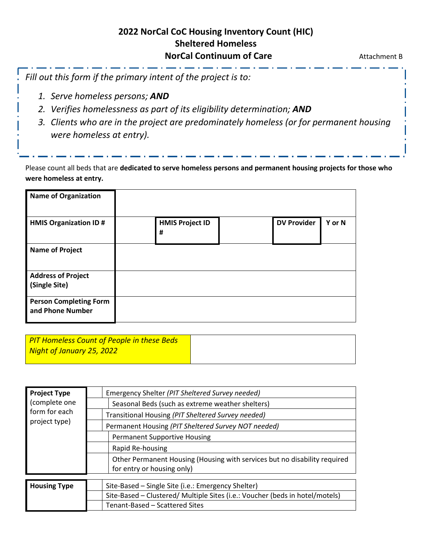# **2022 NorCal CoC Housing Inventory Count (HIC) Sheltered Homeless NorCal Continuum of Care Attachment B**

*Fill out this form if the primary intent of the project is to:*

- *1. Serve homeless persons; AND*
- *2. Verifies homelessness as part of its eligibility determination; AND*
- *3. Clients who are in the project are predominately homeless (or for permanent housing were homeless at entry).*

Please count all beds that are **dedicated to serve homeless persons and permanent housing projects for those who were homeless at entry.** 

| <b>Name of Organization</b>                       |                             |                    |        |
|---------------------------------------------------|-----------------------------|--------------------|--------|
| <b>HMIS Organization ID#</b>                      | <b>HMIS Project ID</b><br># | <b>DV Provider</b> | Y or N |
| <b>Name of Project</b>                            |                             |                    |        |
| <b>Address of Project</b><br>(Single Site)        |                             |                    |        |
|                                                   |                             |                    |        |
| <b>Person Completing Form</b><br>and Phone Number |                             |                    |        |

| <b>PIT Homeless Count of People in these Beds</b> |
|---------------------------------------------------|
| Night of January 25, 2022                         |
|                                                   |

| <b>Project Type</b>            | Emergency Shelter (PIT Sheltered Survey needed)                                                         |  |  |  |  |  |
|--------------------------------|---------------------------------------------------------------------------------------------------------|--|--|--|--|--|
| (complete one<br>form for each | Seasonal Beds (such as extreme weather shelters)                                                        |  |  |  |  |  |
|                                | Transitional Housing (PIT Sheltered Survey needed)                                                      |  |  |  |  |  |
| project type)                  | Permanent Housing (PIT Sheltered Survey NOT needed)                                                     |  |  |  |  |  |
|                                | <b>Permanent Supportive Housing</b>                                                                     |  |  |  |  |  |
|                                | Rapid Re-housing                                                                                        |  |  |  |  |  |
|                                | Other Permanent Housing (Housing with services but no disability required<br>for entry or housing only) |  |  |  |  |  |
|                                |                                                                                                         |  |  |  |  |  |
| <b>Housing Type</b>            | Site-Based - Single Site (i.e.: Emergency Shelter)                                                      |  |  |  |  |  |
|                                | Site-Based - Clustered/ Multiple Sites (i.e.: Voucher (beds in hotel/motels)                            |  |  |  |  |  |
|                                | Tenant-Based - Scattered Sites                                                                          |  |  |  |  |  |
|                                |                                                                                                         |  |  |  |  |  |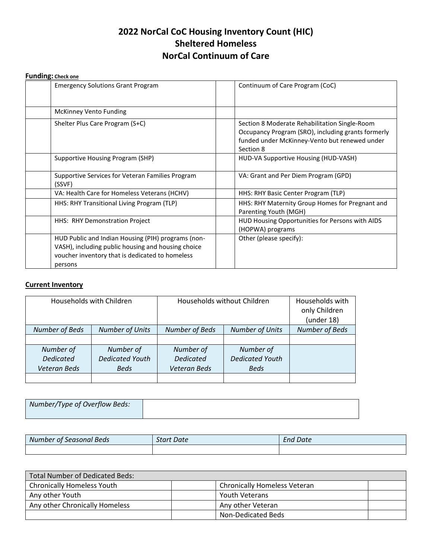# **2022 NorCal CoC Housing Inventory Count (HIC) Sheltered Homeless NorCal Continuum of Care**

#### **Funding: Check one**

| <b>Emergency Solutions Grant Program</b>                                                                                                                               | Continuum of Care Program (CoC)                                                                                                                                   |
|------------------------------------------------------------------------------------------------------------------------------------------------------------------------|-------------------------------------------------------------------------------------------------------------------------------------------------------------------|
| <b>McKinney Vento Funding</b>                                                                                                                                          |                                                                                                                                                                   |
| Shelter Plus Care Program (S+C)                                                                                                                                        | Section 8 Moderate Rehabilitation Single-Room<br>Occupancy Program (SRO), including grants formerly<br>funded under McKinney-Vento but renewed under<br>Section 8 |
| Supportive Housing Program (SHP)                                                                                                                                       | HUD-VA Supportive Housing (HUD-VASH)                                                                                                                              |
| Supportive Services for Veteran Families Program<br>(SSVF)                                                                                                             | VA: Grant and Per Diem Program (GPD)                                                                                                                              |
| VA: Health Care for Homeless Veterans (HCHV)                                                                                                                           | HHS: RHY Basic Center Program (TLP)                                                                                                                               |
| HHS: RHY Transitional Living Program (TLP)                                                                                                                             | HHS: RHY Maternity Group Homes for Pregnant and<br>Parenting Youth (MGH)                                                                                          |
| HHS: RHY Demonstration Project                                                                                                                                         | HUD Housing Opportunities for Persons with AIDS<br>(HOPWA) programs                                                                                               |
| HUD Public and Indian Housing (PIH) programs (non-<br>VASH), including public housing and housing choice<br>voucher inventory that is dedicated to homeless<br>persons | Other (please specify):                                                                                                                                           |

## **Current Inventory**

| Households with Children |                        | Households without Children                     |                        | Households with<br>only Children<br>(under 18) |
|--------------------------|------------------------|-------------------------------------------------|------------------------|------------------------------------------------|
| Number of Beds           | <b>Number of Units</b> | <b>Number of Beds</b><br><b>Number of Units</b> |                        | <b>Number of Beds</b>                          |
|                          |                        |                                                 |                        |                                                |
| Number of                | Number of              | Number of                                       | Number of              |                                                |
| <b>Dedicated</b>         | <b>Dedicated Youth</b> | <b>Dedicated</b>                                | <b>Dedicated Youth</b> |                                                |
| Veteran Beds             | <b>Beds</b>            | Veteran Beds                                    | <b>Beds</b>            |                                                |
|                          |                        |                                                 |                        |                                                |

| Number/Type of Overflow Beds: |  |
|-------------------------------|--|
|                               |  |
|                               |  |
|                               |  |

| <sup>F</sup> Seasonal Beds<br>Number of . | <b>Start Date</b> | <b>End Date</b> |
|-------------------------------------------|-------------------|-----------------|
|                                           |                   |                 |

| Total Number of Dedicated Beds:   |                                     |  |
|-----------------------------------|-------------------------------------|--|
| <b>Chronically Homeless Youth</b> | <b>Chronically Homeless Veteran</b> |  |
| Any other Youth                   | <b>Youth Veterans</b>               |  |
| Any other Chronically Homeless    | Any other Veteran                   |  |
|                                   | Non-Dedicated Beds                  |  |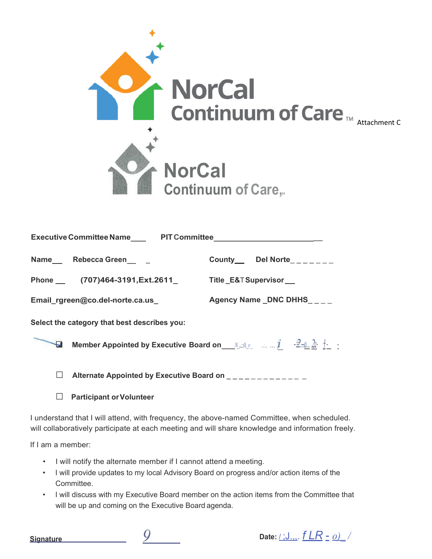

|        | Name Rebecca Green __ _                                                                                         | County___ Del Norte_______ |  |
|--------|-----------------------------------------------------------------------------------------------------------------|----------------------------|--|
|        | Phone (707)464-3191, Ext. 2611 Title E&T Supervisor                                                             |                            |  |
|        | Email_rgreen@co.del-norte.ca.us                                                                                 | Agency Name _DNC DHHS____  |  |
|        | Select the category that best describes you:                                                                    |                            |  |
| H      | Member Appointed by Executive Board on Member $i = 2.50$ in $i = 2.5$                                           |                            |  |
| $\Box$ | Alternate Appointed by Executive Board on _____________                                                         |                            |  |
| ப      | <b>Participant or Volunteer</b>                                                                                 |                            |  |
|        | the contract of the contract of the contract of the contract of the contract of the contract of the contract of |                            |  |

I understand that I will attend, with frequency, the above-named Committee, when scheduled. will collaboratively participate at each meeting and will share knowledge and information freely.

If I am a member:

- I will notify the alternate member if I cannot attend a meeting.
- I will provide updates to my local Advisory Board on progress and/or action items of the Committee.
- I will discuss with my Executive Board member on the action items from the Committee that will be up and coming on the Executive Board agenda.



**Signature** *9* **Date:** / ;J.,,. *f LR* - *o)\_ /*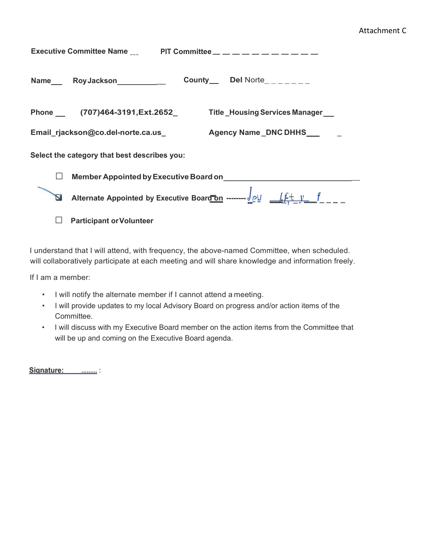#### Attachment C

| Executive Committee Name $\frac{1}{2}$ PIT Committee $\frac{1}{2}$ $\frac{1}{2}$ $\frac{1}{2}$ $\frac{1}{2}$ $\frac{1}{2}$ $\frac{1}{2}$ $\frac{1}{2}$ $\frac{1}{2}$ $\frac{1}{2}$ $\frac{1}{2}$ $\frac{1}{2}$ $\frac{1}{2}$ $\frac{1}{2}$ $\frac{1}{2}$ $\frac{1}{2}$ $\frac{1}{2}$ $\frac{1}{2}$ $\$ |                                                                                              |  |  |  |  |
|--------------------------------------------------------------------------------------------------------------------------------------------------------------------------------------------------------------------------------------------------------------------------------------------------------|----------------------------------------------------------------------------------------------|--|--|--|--|
|                                                                                                                                                                                                                                                                                                        | <b>County</b> Del Norte_______                                                               |  |  |  |  |
|                                                                                                                                                                                                                                                                                                        | Phone (707)464-3191, Ext. 2652<br>Title _Housing Services Manager                            |  |  |  |  |
|                                                                                                                                                                                                                                                                                                        | Agency Name_DNC DHHS<br>Email_rjackson@co.del-norte.ca.us_                                   |  |  |  |  |
|                                                                                                                                                                                                                                                                                                        | Select the category that best describes you:                                                 |  |  |  |  |
|                                                                                                                                                                                                                                                                                                        |                                                                                              |  |  |  |  |
|                                                                                                                                                                                                                                                                                                        | Alternate Appointed by Executive Board on ------- $\frac{J \rho V}{L} = \frac{f + V}{L} = -$ |  |  |  |  |
|                                                                                                                                                                                                                                                                                                        | <b>Participant or Volunteer</b>                                                              |  |  |  |  |

I understand that I will attend, with frequency, the above-named Committee, when scheduled. will collaboratively participate at each meeting and will share knowledge and information freely.

If I am a member:

- I will notify the alternate member if I cannot attend a meeting.
- I will provide updates to my local Advisory Board on progress and/or action items of the Committee.
- I will discuss with my Executive Board member on the action items from the Committee that will be up and coming on the Executive Board agenda.

**Signature:\_ \_ \_ ......... :**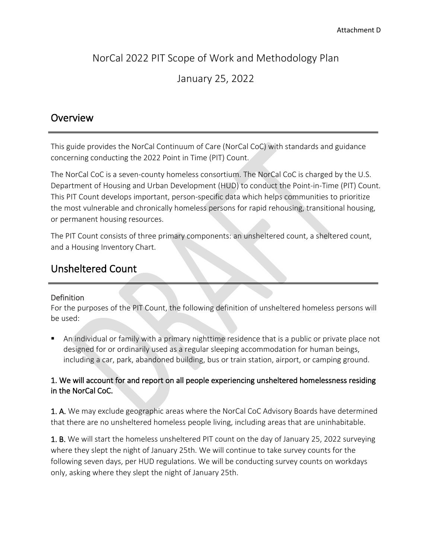# NorCal 2022 PIT Scope of Work and Methodology Plan

# January 25, 2022

# **Overview**

This guide provides the NorCal Continuum of Care (NorCal CoC) with standards and guidance concerning conducting the 2022 Point in Time (PIT) Count.

The NorCal CoC is a seven-county homeless consortium. The NorCal CoC is charged by the U.S. Department of Housing and Urban Development (HUD) to conduct the Point-in-Time (PIT) Count. This PIT Count develops important, person-specific data which helps communities to prioritize the most vulnerable and chronically homeless persons for rapid rehousing, transitional housing, or permanent housing resources.

The PIT Count consists of three primary components: an unsheltered count, a sheltered count, and a Housing Inventory Chart.

# Unsheltered Count

## Definition

For the purposes of the PIT Count, the following definition of unsheltered homeless persons will be used:

 An individual or family with a primary nighttime residence that is a public or private place not designed for or ordinarily used as a regular sleeping accommodation for human beings, including a car, park, abandoned building, bus or train station, airport, or camping ground.

## 1. We will account for and report on all people experiencing unsheltered homelessness residing in the NorCal CoC.

1. A. We may exclude geographic areas where the NorCal CoC Advisory Boards have determined that there are no unsheltered homeless people living, including areas that are uninhabitable.

1. B. We will start the homeless unsheltered PIT count on the day of January 25, 2022 surveying where they slept the night of January 25th. We will continue to take survey counts for the following seven days, per HUD regulations. We will be conducting survey counts on workdays only, asking where they slept the night of January 25th.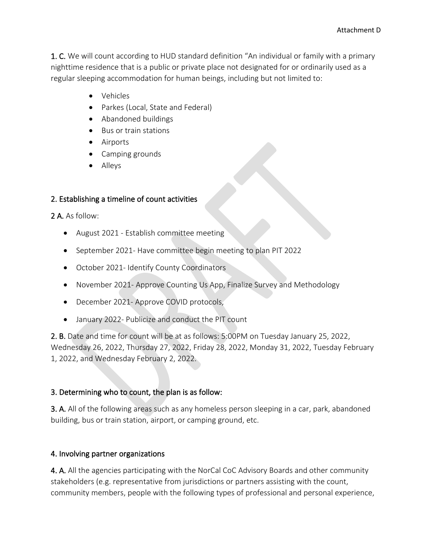1. C. We will count according to HUD standard definition "An individual or family with a primary nighttime residence that is a public or private place not designated for or ordinarily used as a regular sleeping accommodation for human beings, including but not limited to:

- Vehicles
- Parkes (Local, State and Federal)
- Abandoned buildings
- Bus or train stations
- Airports
- Camping grounds
- Alleys

#### 2. Establishing a timeline of count activities

2 A. As follow:

- August 2021 Establish committee meeting
- September 2021- Have committee begin meeting to plan PIT 2022
- October 2021- Identify County Coordinators
- November 2021- Approve Counting Us App, Finalize Survey and Methodology
- December 2021- Approve COVID protocols,
- January 2022- Publicize and conduct the PIT count

2. B. Date and time for count will be at as follows: 5:00PM on Tuesday January 25, 2022, Wednesday 26, 2022, Thursday 27, 2022, Friday 28, 2022, Monday 31, 2022, Tuesday February 1, 2022, and Wednesday February 2, 2022.

#### 3. Determining who to count, the plan is as follow:

3. A. All of the following areas such as any homeless person sleeping in a car, park, abandoned building, bus or train station, airport, or camping ground, etc.

#### 4. Involving partner organizations

4. A. All the agencies participating with the NorCal CoC Advisory Boards and other community stakeholders (e.g. representative from jurisdictions or partners assisting with the count, community members, people with the following types of professional and personal experience,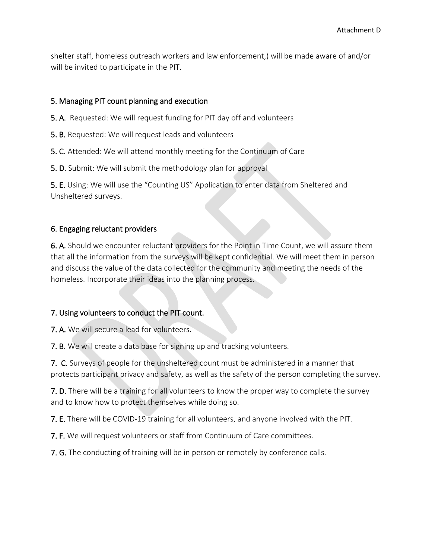shelter staff, homeless outreach workers and law enforcement,) will be made aware of and/or will be invited to participate in the PIT.

#### 5. Managing PIT count planning and execution

5. A. Requested: We will request funding for PIT day off and volunteers

- 5. B. Requested: We will request leads and volunteers
- 5. C. Attended: We will attend monthly meeting for the Continuum of Care
- 5. D. Submit: We will submit the methodology plan for approval

5. E. Using: We will use the "Counting US" Application to enter data from Sheltered and Unsheltered surveys.

#### 6. Engaging reluctant providers

6. A. Should we encounter reluctant providers for the Point in Time Count, we will assure them that all the information from the surveys will be kept confidential. We will meet them in person and discuss the value of the data collected for the community and meeting the needs of the homeless. Incorporate their ideas into the planning process.

#### 7. Using volunteers to conduct the PIT count.

7. A. We will secure a lead for volunteers.

7. B. We will create a data base for signing up and tracking volunteers.

7. C. Surveys of people for the unsheltered count must be administered in a manner that protects participant privacy and safety, as well as the safety of the person completing the survey.

7. D. There will be a training for all volunteers to know the proper way to complete the survey and to know how to protect themselves while doing so.

7. E. There will be COVID-19 training for all volunteers, and anyone involved with the PIT.

7. F. We will request volunteers or staff from Continuum of Care committees.

7. G. The conducting of training will be in person or remotely by conference calls.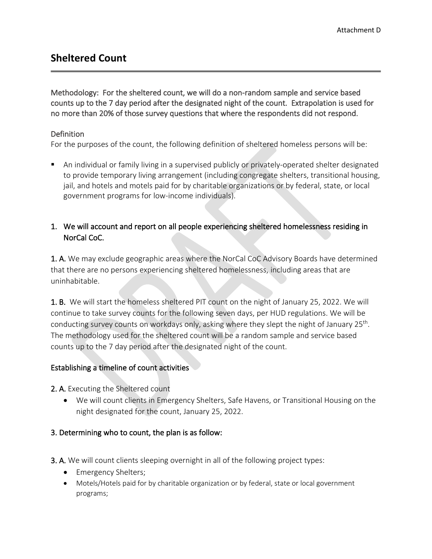# **Sheltered Count**

Methodology: For the sheltered count, we will do a non-random sample and service based counts up to the 7 day period after the designated night of the count. Extrapolation is used for no more than 20% of those survey questions that where the respondents did not respond.

#### Definition

For the purposes of the count, the following definition of sheltered homeless persons will be:

 An individual or family living in a supervised publicly or privately-operated shelter designated to provide temporary living arrangement (including congregate shelters, transitional housing, jail, and hotels and motels paid for by charitable organizations or by federal, state, or local government programs for low-income individuals).

## 1. We will account and report on all people experiencing sheltered homelessness residing in NorCal CoC.

1. A. We may exclude geographic areas where the NorCal CoC Advisory Boards have determined that there are no persons experiencing sheltered homelessness, including areas that are uninhabitable.

1. B. We will start the homeless sheltered PIT count on the night of January 25, 2022. We will continue to take survey counts for the following seven days, per HUD regulations. We will be conducting survey counts on workdays only, asking where they slept the night of January 25th. The methodology used for the sheltered count will be a random sample and service based counts up to the 7 day period after the designated night of the count.

#### Establishing a timeline of count activities

2. A. Executing the Sheltered count

• We will count clients in Emergency Shelters, Safe Havens, or Transitional Housing on the night designated for the count, January 25, 2022.

#### 3. Determining who to count, the plan is as follow:

- 3. A. We will count clients sleeping overnight in all of the following project types:
	- Emergency Shelters;
	- Motels/Hotels paid for by charitable organization or by federal, state or local government programs;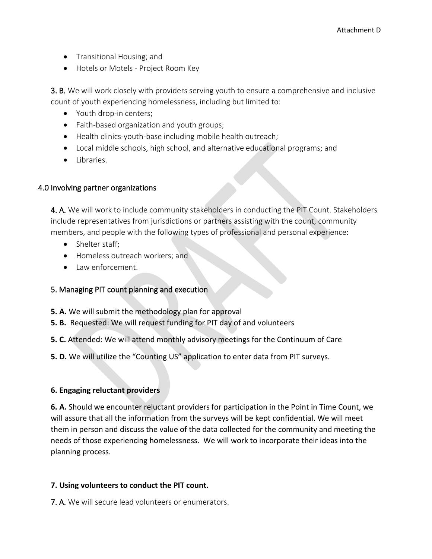- Transitional Housing; and
- Hotels or Motels Project Room Key

3. B. We will work closely with providers serving youth to ensure a comprehensive and inclusive count of youth experiencing homelessness, including but limited to:

- Youth drop-in centers;
- Faith-based organization and youth groups;
- Health clinics-youth-base including mobile health outreach;
- Local middle schools, high school, and alternative educational programs; and
- Libraries.

#### 4.0 Involving partner organizations

4. A. We will work to include community stakeholders in conducting the PIT Count. Stakeholders include representatives from jurisdictions or partners assisting with the count, community members, and people with the following types of professional and personal experience:

- Shelter staff;
- Homeless outreach workers; and
- Law enforcement.

#### 5. Managing PIT count planning and execution

- **5. A.** We will submit the methodology plan for approval
- **5. B.** Requested: We will request funding for PIT day of and volunteers
- **5. C.** Attended: We will attend monthly advisory meetings for the Continuum of Care
- **5. D.** We will utilize the "Counting US" application to enter data from PIT surveys.

#### **6. Engaging reluctant providers**

**6. A.** Should we encounter reluctant providers for participation in the Point in Time Count, we will assure that all the information from the surveys will be kept confidential. We will meet them in person and discuss the value of the data collected for the community and meeting the needs of those experiencing homelessness. We will work to incorporate their ideas into the planning process.

#### **7. Using volunteers to conduct the PIT count.**

7. A. We will secure lead volunteers or enumerators.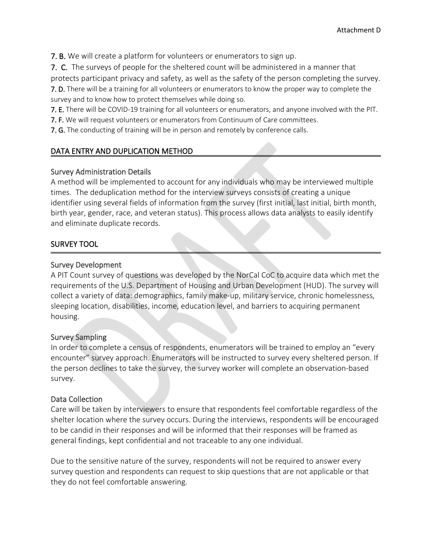7. B. We will create a platform for volunteers or enumerators to sign up.

7. C. The surveys of people for the sheltered count will be administered in a manner that

protects participant privacy and safety, as well as the safety of the person completing the survey.

7. D. There will be a training for all volunteers or enumerators to know the proper way to complete the survey and to know how to protect themselves while doing so.

7. E. There will be COVID-19 training for all volunteers or enumerators, and anyone involved with the PIT.

7. F. We will request volunteers or enumerators from Continuum of Care committees.

7. G. The conducting of training will be in person and remotely by conference calls.

#### DATA ENTRY AND DUPLICATION METHOD

#### Survey Administration Details

A method will be implemented to account for any individuals who may be interviewed multiple times. The deduplication method for the interview surveys consists of creating a unique identifier using several fields of information from the survey (first initial, last initial, birth month, birth year, gender, race, and veteran status). This process allows data analysts to easily identify and eliminate duplicate records.

#### SURVEY TOOL

#### Survey Development

A PIT Count survey of questions was developed by the NorCal CoC to acquire data which met the requirements of the U.S. Department of Housing and Urban Development (HUD). The survey will collect a variety of data: demographics, family make-up, military service, chronic homelessness, sleeping location, disabilities, income, education level, and barriers to acquiring permanent housing.

#### Survey Sampling

In order to complete a census of respondents, enumerators will be trained to employ an "every encounter" survey approach. Enumerators will be instructed to survey every sheltered person. If the person declines to take the survey, the survey worker will complete an observation-based survey.

#### Data Collection

Care will be taken by interviewers to ensure that respondents feel comfortable regardless of the shelter location where the survey occurs. During the interviews, respondents will be encouraged to be candid in their responses and will be informed that their responses will be framed as general findings, kept confidential and not traceable to any one individual.

Due to the sensitive nature of the survey, respondents will not be required to answer every survey question and respondents can request to skip questions that are not applicable or that they do not feel comfortable answering.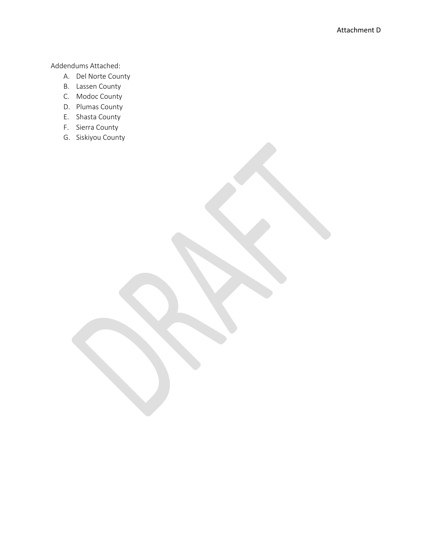Addendums Attached:

- A. Del Norte County
- B. Lassen County
- C. Modoc County
- D. Plumas County
- E. Shasta County
- F. Sierra County
- G. Siskiyou County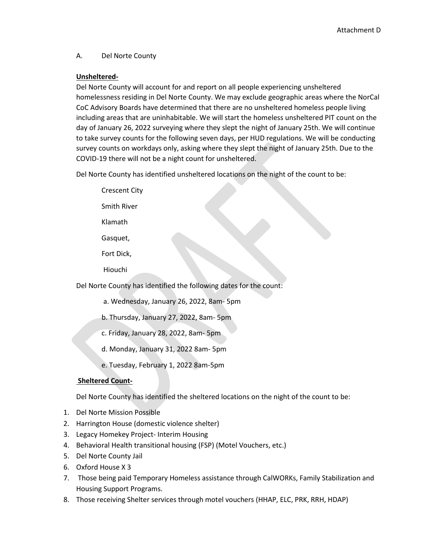#### A. Del Norte County

#### **Unsheltered-**

Del Norte County will account for and report on all people experiencing unsheltered homelessness residing in Del Norte County. We may exclude geographic areas where the NorCal CoC Advisory Boards have determined that there are no unsheltered homeless people living including areas that are uninhabitable. We will start the homeless unsheltered PIT count on the day of January 26, 2022 surveying where they slept the night of January 25th. We will continue to take survey counts for the following seven days, per HUD regulations. We will be conducting survey counts on workdays only, asking where they slept the night of January 25th. Due to the COVID-19 there will not be a night count for unsheltered.

Del Norte County has identified unsheltered locations on the night of the count to be:

Crescent City Smith River

Klamath

- Gasquet,
- Fort Dick,
- Hiouchi

Del Norte County has identified the following dates for the count:

- a. Wednesday, January 26, 2022, 8am- 5pm
- b. Thursday, January 27, 2022, 8am- 5pm
- c. Friday, January 28, 2022, 8am- 5pm
- d. Monday, January 31, 2022 8am- 5pm
- e. Tuesday, February 1, 2022 8am-5pm

#### **Sheltered Count-**

Del Norte County has identified the sheltered locations on the night of the count to be:

- 1. Del Norte Mission Possible
- 2. Harrington House (domestic violence shelter)
- 3. Legacy Homekey Project- Interim Housing
- 4. Behavioral Health transitional housing (FSP) (Motel Vouchers, etc.)
- 5. Del Norte County Jail
- 6. Oxford House X 3
- 7. Those being paid Temporary Homeless assistance through CalWORKs, Family Stabilization and Housing Support Programs.
- 8. Those receiving Shelter services through motel vouchers (HHAP, ELC, PRK, RRH, HDAP)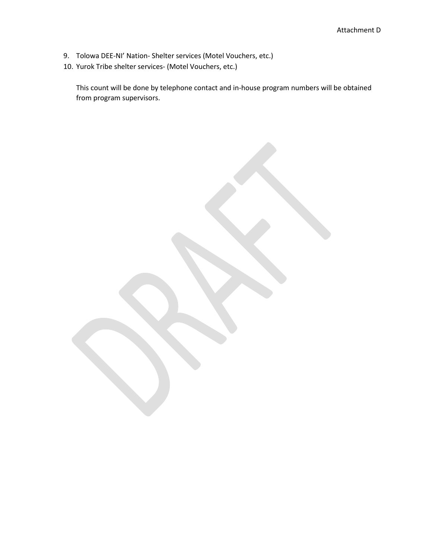- 9. Tolowa DEE-NI' Nation- Shelter services (Motel Vouchers, etc.)
- 10. Yurok Tribe shelter services- (Motel Vouchers, etc.)

This count will be done by telephone contact and in-house program numbers will be obtained from program supervisors.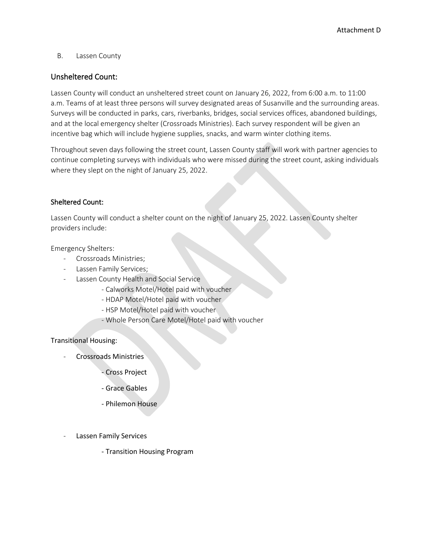#### B. Lassen County

#### Unsheltered Count:

Lassen County will conduct an unsheltered street count on January 26, 2022, from 6:00 a.m. to 11:00 a.m. Teams of at least three persons will survey designated areas of Susanville and the surrounding areas. Surveys will be conducted in parks, cars, riverbanks, bridges, social services offices, abandoned buildings, and at the local emergency shelter (Crossroads Ministries). Each survey respondent will be given an incentive bag which will include hygiene supplies, snacks, and warm winter clothing items.

Throughout seven days following the street count, Lassen County staff will work with partner agencies to continue completing surveys with individuals who were missed during the street count, asking individuals where they slept on the night of January 25, 2022.

#### Sheltered Count:

Lassen County will conduct a shelter count on the night of January 25, 2022. Lassen County shelter providers include:

Emergency Shelters:

- Crossroads Ministries;
- Lassen Family Services;
- Lassen County Health and Social Service
	- Calworks Motel/Hotel paid with voucher
	- HDAP Motel/Hotel paid with voucher
	- HSP Motel/Hotel paid with voucher
	- Whole Person Care Motel/Hotel paid with voucher

Transitional Housing:

- Crossroads Ministries
	- Cross Project
	- Grace Gables
	- Philemon House
- Lassen Family Services
	- Transition Housing Program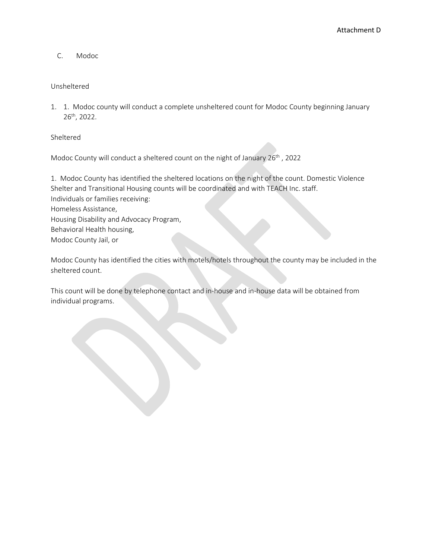C. Modoc

#### Unsheltered

1. 1. Modoc county will conduct a complete unsheltered count for Modoc County beginning January 26th, 2022.

Sheltered

Modoc County will conduct a sheltered count on the night of January 26<sup>th</sup>, 2022

1. Modoc County has identified the sheltered locations on the night of the count. Domestic Violence Shelter and Transitional Housing counts will be coordinated and with TEACH Inc. staff. Individuals or families receiving: Homeless Assistance, Housing Disability and Advocacy Program, Behavioral Health housing, Modoc County Jail, or

Modoc County has identified the cities with motels/hotels throughout the county may be included in the sheltered count.

This count will be done by telephone contact and in-house and in-house data will be obtained from individual programs.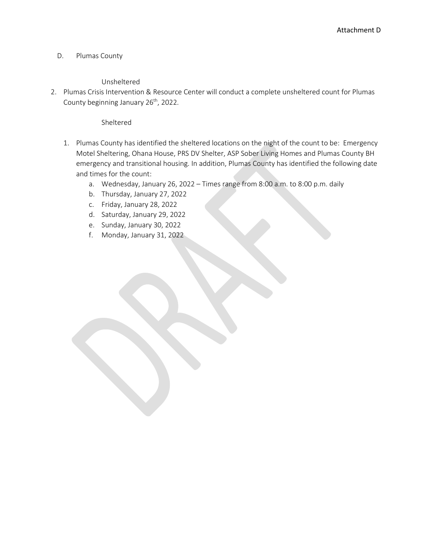#### D. Plumas County

#### Unsheltered

2. Plumas Crisis Intervention & Resource Center will conduct a complete unsheltered count for Plumas County beginning January 26<sup>th</sup>, 2022.

Sheltered

- 1. Plumas County has identified the sheltered locations on the night of the count to be: Emergency Motel Sheltering, Ohana House, PRS DV Shelter, ASP Sober Living Homes and Plumas County BH emergency and transitional housing. In addition, Plumas County has identified the following date and times for the count:
	- a. Wednesday, January 26, 2022 Times range from 8:00 a.m. to 8:00 p.m. daily
	- b. Thursday, January 27, 2022
	- c. Friday, January 28, 2022
	- d. Saturday, January 29, 2022
	- e. Sunday, January 30, 2022
	- f. Monday, January 31, 2022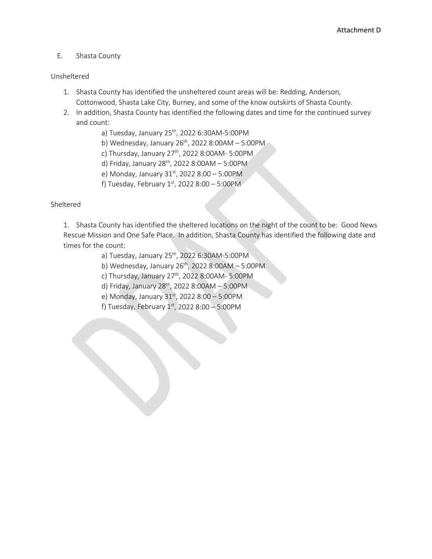#### E. Shasta County

#### Unsheltered

- 1. Shasta County has identified the unsheltered count areas will be: Redding, Anderson, Cottonwood, Shasta Lake City, Burney, and some of the know outskirts of Shasta County.
- 2. In addition, Shasta County has identified the following dates and time for the continued survey and count:
	- a) Tuesday, January 25<sup>th</sup>, 2022 6:30AM-5:00PM
	- b) Wednesday, January  $26<sup>th</sup>$ , 2022 8:00AM 5:00PM
	- c) Thursday, January  $27^{th}$ , 2022 8:00AM- 5:00PM
	- d) Friday, January 28<sup>th</sup>, 2022 8:00AM 5:00PM
	- e) Monday, January  $31^{st}$ , 2022 8:00 5:00PM
	- f) Tuesday, February  $1^{st}$ , 2022 8:00 5:00PM

#### Sheltered

1. Shasta County has identified the sheltered locations on the night of the count to be: Good News Rescue Mission and One Safe Place. In addition, Shasta County has identified the following date and times for the count:

- a) Tuesday, January 25<sup>th</sup>, 2022 6:30AM-5:00PM
- b) Wednesday, January  $26<sup>th</sup>$ , 2022 8:00AM 5:00PM
- c) Thursday, January  $27<sup>th</sup>$ , 2022 8:00AM- 5:00PM
- d) Friday, January 28<sup>th</sup>, 2022 8:00AM 5:00PM
- e) Monday, January  $31^{st}$ , 2022 8:00 5:00PM
- f) Tuesday, February  $1^{st}$ , 2022 8:00 5:00PM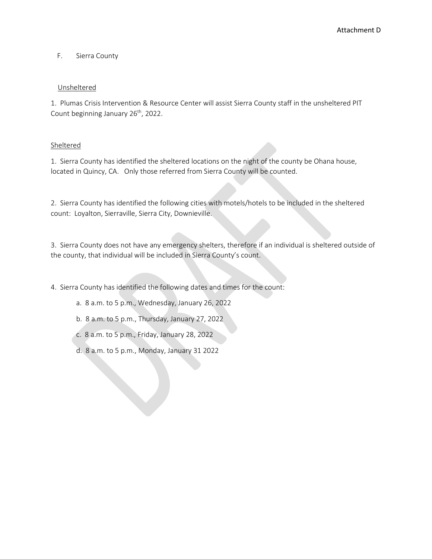#### F. Sierra County

#### Unsheltered

1. Plumas Crisis Intervention & Resource Center will assist Sierra County staff in the unsheltered PIT Count beginning January 26<sup>th</sup>, 2022.

#### Sheltered

1. Sierra County has identified the sheltered locations on the night of the county be Ohana house, located in Quincy, CA. Only those referred from Sierra County will be counted.

2. Sierra County has identified the following cities with motels/hotels to be included in the sheltered count: Loyalton, Sierraville, Sierra City, Downieville.

3. Sierra County does not have any emergency shelters, therefore if an individual is sheltered outside of the county, that individual will be included in Sierra County's count.

4. Sierra County has identified the following dates and times for the count:

- a. 8 a.m. to 5 p.m., Wednesday, January 26, 2022
- b. 8 a.m. to 5 p.m., Thursday, January 27, 2022
- c. 8 a.m. to 5 p.m., Friday, January 28, 2022
- d. 8 a.m. to 5 p.m., Monday, January 31 2022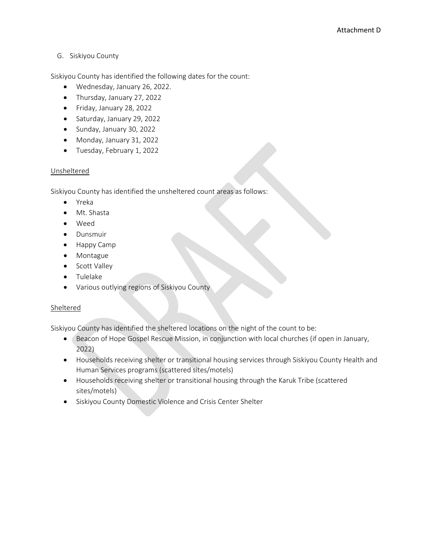#### G. Siskiyou County

Siskiyou County has identified the following dates for the count:

- Wednesday, January 26, 2022.
- Thursday, January 27, 2022
- Friday, January 28, 2022
- Saturday, January 29, 2022
- Sunday, January 30, 2022
- Monday, January 31, 2022
- Tuesday, February 1, 2022

#### Unsheltered

Siskiyou County has identified the unsheltered count areas as follows:

- Yreka
- Mt. Shasta
- Weed
- Dunsmuir
- Happy Camp
- Montague
- Scott Valley
- Tulelake
- Various outlying regions of Siskiyou County

#### Sheltered

Siskiyou County has identified the sheltered locations on the night of the count to be:

- Beacon of Hope Gospel Rescue Mission, in conjunction with local churches (if open in January, 2022)
- Households receiving shelter or transitional housing services through Siskiyou County Health and Human Services programs (scattered sites/motels)
- Households receiving shelter or transitional housing through the Karuk Tribe (scattered sites/motels)
- Siskiyou County Domestic Violence and Crisis Center Shelter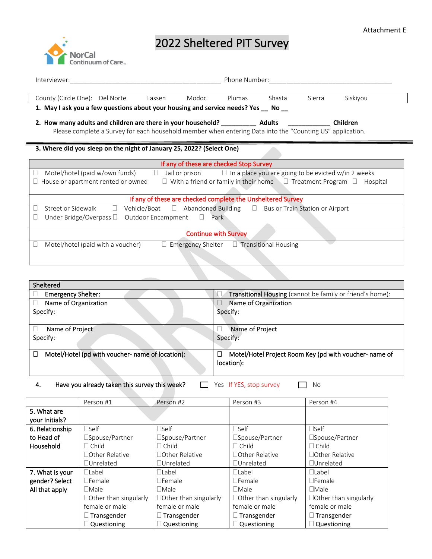# **NorCal** Continuum of Care

# 2022 Sheltered PIT Survey

| Interviewer:                                                                                                                                                                                                                                         |  |        |                                                             | Phone Number: |        |        |                 |
|------------------------------------------------------------------------------------------------------------------------------------------------------------------------------------------------------------------------------------------------------|--|--------|-------------------------------------------------------------|---------------|--------|--------|-----------------|
| County (Circle One): Del Norte                                                                                                                                                                                                                       |  | Lassen | Modoc                                                       | Plumas        | Shasta | Sierra | Siskiyou        |
| 1. May I ask you a few questions about your housing and service needs? Yes __ No __                                                                                                                                                                  |  |        |                                                             |               |        |        |                 |
| Please complete a Survey for each household member when entering Data into the "Counting US" application.                                                                                                                                            |  |        |                                                             |               |        |        | <b>Children</b> |
| 3. Where did you sleep on the night of January 25, 2022? (Select One)                                                                                                                                                                                |  |        |                                                             |               |        |        |                 |
|                                                                                                                                                                                                                                                      |  |        | If any of these are checked Stop Survey                     |               |        |        |                 |
| $\Box$ Jail or prison<br>Motel/hotel (paid w/own funds)<br>$\Box$ In a place you are going to be evicted w/in 2 weeks<br>House or apartment rented or owned<br>$\Box$ With a friend or family in their home $\Box$ Treatment Program $\Box$ Hospital |  |        |                                                             |               |        |        |                 |
|                                                                                                                                                                                                                                                      |  |        | If any of these are checked complete the Unsheltered Survey |               |        |        |                 |
| Vehicle/Boat □ Abandoned Building □ Bus or Train Station or Airport<br>Street or Sidewalk<br>$\Box$<br>Under Bridge/Overpass $\Box$ Outdoor Encampment $\Box$ Park                                                                                   |  |        |                                                             |               |        |        |                 |
|                                                                                                                                                                                                                                                      |  |        | <b>Continue with Survey</b>                                 |               |        |        |                 |
| Motel/hotel (paid with a voucher)                                                                                                                                                                                                                    |  |        | $\Box$ Emergency Shelter $\Box$ Transitional Housing        |               |        |        |                 |

| Sheltered                                                  |                                                           |
|------------------------------------------------------------|-----------------------------------------------------------|
| <b>Emergency Shelter:</b>                                  | Transitional Housing (cannot be family or friend's home): |
| Name of Organization                                       | Name of Organization                                      |
| Specify:                                                   | Specify:                                                  |
|                                                            |                                                           |
| Name of Project                                            | Name of Project                                           |
| Specify:                                                   | Specify:                                                  |
|                                                            |                                                           |
| Motel/Hotel (pd with voucher- name of location):<br>$\Box$ | Motel/Hotel Project Room Key (pd with voucher- name of    |
|                                                            | location):                                                |
|                                                            |                                                           |

4. Have you already taken this survey this week?  $\Box$  Yes If YES, stop survey  $\Box$  No

|                               | Person #1                    | Person #2                    | Person #3                    | Person #4                    |
|-------------------------------|------------------------------|------------------------------|------------------------------|------------------------------|
| 5. What are<br>your Initials? |                              |                              |                              |                              |
| 6. Relationship               | $\Box$ Self                  | $\Box$ Self                  | $\square$ Self               | $\Box$ Self                  |
| to Head of                    | □Spouse/Partner              | □Spouse/Partner              | □Spouse/Partner              | □Spouse/Partner              |
| Household                     | $\Box$ Child                 | $\Box$ Child                 | $\Box$ Child                 | $\Box$ Child                 |
|                               | $\Box$ Other Relative        | $\Box$ Other Relative        | $\Box$ Other Relative        | $\Box$ Other Relative        |
|                               | □Unrelated                   | $\Box$ Unrelated             | $\Box$ Unrelated             | $\Box$ Unrelated             |
| 7. What is your               | $\Box$ Label                 | $\Box$ Label                 | □Label                       | $\Box$ Label                 |
| gender? Select                | $\Box$ Female                | $\Box$ Female                | $\Box$ Female                | $\Box$ Female                |
| All that apply                | $\Box$ Male                  | $\Box$ Male                  | $\Box$ Male                  | $\Box$ Male                  |
|                               | $\Box$ Other than singularly | $\Box$ Other than singularly | $\Box$ Other than singularly | $\Box$ Other than singularly |
|                               | female or male               | female or male               | female or male               | female or male               |
|                               | $\Box$ Transgender           | $\Box$ Transgender           | $\Box$ Transgender           | $\Box$ Transgender           |
|                               | $\Box$ Questioning           | $\Box$ Questioning           | $\Box$ Questioning           | $\Box$ Questioning           |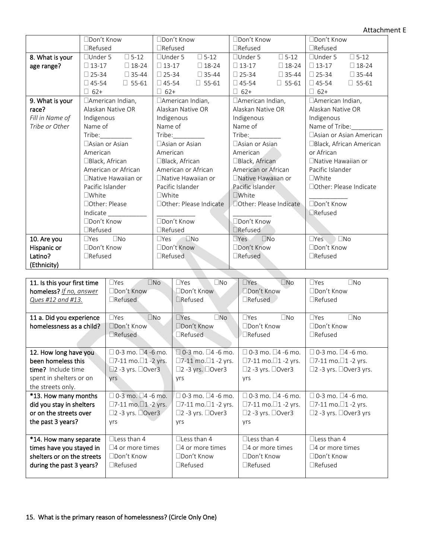Attachment E

|                 | □Don't Know                      | □Don't Know                      | □Don't Know                      | □Don't Know                     |  |
|-----------------|----------------------------------|----------------------------------|----------------------------------|---------------------------------|--|
|                 | $\Box$ Refused                   | $\Box$ Refused                   | $\Box$ Refused                   | $\Box$ Refused                  |  |
| 8. What is your | $\square$ 5-12<br>$\Box$ Under 5 | $\square$ 5-12<br>$\Box$ Under 5 | $\square$ 5-12<br>$\Box$ Under 5 | $\Box$ 5-12<br>$\Box$ Under 5   |  |
| age range?      | $\Box$ 13-17<br>$\Box$ 18-24     | $\Box$ 13-17<br>$\square$ 18-24  | $\Box$ 13-17<br>$\square$ 18-24  | $\square$ 13-17<br>$\Box$ 18-24 |  |
|                 | $\Box$ 25-34<br>$\Box$ 35-44     | $\Box$ 25-34<br>$\Box$ 35-44     | $\square$ 25-34<br>$\Box$ 35-44  | $\Box$ 25-34<br>$\Box$ 35-44    |  |
|                 | $\Box$ 45-54<br>$\square$ 55-61  | $\Box$ 45-54<br>$\Box$ 55-61     | $\Box$ 45-54<br>$\Box$ 55-61     | $\Box$ 45-54<br>$\Box$ 55-61    |  |
|                 | $\Box$ 62+                       | $\Box$ 62+                       | $\Box$ 62+                       | $\Box$ 62+                      |  |
| 9. What is your | □American Indian,                | □American Indian,                | □American Indian,                | □American Indian,               |  |
| race?           | Alaskan Native OR                | Alaskan Native OR                | Alaskan Native OR                | Alaskan Native OR               |  |
| Fill in Name of | Indigenous                       | Indigenous                       | Indigenous                       | Indigenous                      |  |
| Tribe or Other  | Name of                          | Name of                          | Name of                          | Name of Tribe:                  |  |
|                 | Tribe:                           | Tribe:                           | Tribe:                           | □ Asian or Asian American       |  |
|                 | $\Box$ Asian or Asian            | $\Box$ Asian or Asian            | □ Asian or Asian                 | □Black, African American        |  |
|                 | American                         | American                         | American                         | or African                      |  |
|                 | □Black, African                  | $\Box$ Black, African            | □Black, African                  | $\Box$ Native Hawaiian or       |  |
|                 | American or African              | American or African              | American or African              | Pacific Islander                |  |
|                 | □Native Hawaiian or              | □ Native Hawaiian or             | □Native Hawaiian or              | $\Box$ White                    |  |
|                 | Pacific Islander                 | Pacific Islander                 | Pacific Islander                 | □Other: Please Indicate         |  |
|                 | $\square$ White                  | $\Box$ White                     | $\Box$ White                     |                                 |  |
|                 | □ Other: Please                  | □Other: Please Indicate          | □ Other: Please Indicate         | □Don't Know                     |  |
|                 | Indicate                         |                                  |                                  | Refused                         |  |
|                 | □Don't Know                      | □Don't Know                      | □Don't Know                      |                                 |  |
|                 | $\Box$ Refused                   | $\Box$ Refused                   | $\Box$ Refused                   |                                 |  |
| 10. Are you     | $\square$ No<br>$\Box$ Yes       | $\square$ No<br>$\Box$ Yes       | $\square$ No<br>$\Box$ Yes       | $\square$ No<br>$\Box$ Yes      |  |
| Hispanic or     | □Don't Know                      | □Don't Know                      | □Don't Know                      | □Don't Know                     |  |
| Latino?         | $\Box$ Refused                   | $\Box$ Refused                   | $\Box$ Refused                   | $\Box$ Refused                  |  |
| (Ethnicity)     |                                  |                                  |                                  |                                 |  |

| 11. Is this your first time | $\Box$ No<br>$\Box$ Yes                | $\Box Yes$<br>$\Box$ No                | $\square$ No<br>$\Box Yes$          | $\Box$ No<br>$\Box Yes$                  |
|-----------------------------|----------------------------------------|----------------------------------------|-------------------------------------|------------------------------------------|
| homeless? If no, answer     | □Don't Know                            | $\Box$ Don't Know                      | □Don't Know                         | $\Box$ Don't Know                        |
| Ques #12 and #13.           | $\Box$ Refused                         | $\Box$ Refused                         | $\Box$ Refused                      | $\Box$ Refused                           |
|                             |                                        |                                        |                                     |                                          |
| 11 a. Did you experience    | $\Box$ Yes<br>$\square$ No             | $\n  Yes\n$<br>$\square$ No            | $\Box$ No<br>$\Box Yes$             | $\Box$ Yes<br>$\Box$ No                  |
| homelessness as a child?    | $\Box$ Don't Know                      | $\Box$ Don't Know                      | □Don't Know                         | □Don't Know                              |
|                             | $\Box$ Refused                         | $\Box$ Refused                         | $\Box$ Refused                      | $\Box$ Refused                           |
|                             |                                        |                                        |                                     |                                          |
| 12. How long have you       | $\Box$ 0-3 mo. $\Box$ 4 -6 mo.         | $\Box$ 0-3 mo. $\Box$ 4 -6 mo.         | $\Box$ 0-3 mo. $\Box$ 4 -6 mo.      | $\Box$ 0-3 mo. $\Box$ 4 -6 mo.           |
| been homeless this          | $\Box$ 7-11 mo. $\Box$ 1 -2 yrs.       | $\square$ 7-11 mo. $\square$ 1 -2 yrs. | $□7-11$ mo. $□1-2$ yrs.             | $□7-11$ mo. $□1-2$ yrs.                  |
| time? Include time          | $\square$ 2 -3 yrs. $\square$ Over3    | $\square$ 2 -3 yrs. $\square$ Over3    | $\square$ 2 -3 yrs. $\square$ Over3 | $\square$ 2 -3 yrs. $\square$ Over3 yrs. |
| spent in shelters or on     | yrs                                    | <b>vrs</b>                             | yrs                                 |                                          |
| the streets only.           |                                        |                                        |                                     |                                          |
| *13. How many months        | $\square$ 0-3 mo. $\square$ 4 -6 mo.   | $\Box$ 0-3 mo. $\Box$ 4 -6 mo.         | $\Box$ 0-3 mo. $\Box$ 4 -6 mo.      | $\Box$ 0-3 mo. $\Box$ 4 -6 mo.           |
| did you stay in shelters    | $\square$ 7-11 mo. $\square$ 1 -2 yrs. | $□7-11$ mo. $□1-2$ yrs.                | $□7-11$ mo. $□1-2$ yrs.             | $\square$ 7-11 mo. $\square$ 1 -2 yrs.   |
| or on the streets over      | $\square$ 2 -3 yrs. $\square$ Over3    | $\square$ 2 -3 yrs. $\square$ Over3    | $\square$ 2 -3 yrs. $\square$ Over3 | $\square$ 2 -3 yrs. $\square$ Over3 yrs  |
| the past 3 years?           | <b>Vrs</b>                             | <b>Vrs</b>                             | yrs                                 |                                          |
|                             |                                        |                                        |                                     |                                          |
| *14. How many separate      | $\Box$ Less than 4                     | $\Box$ Less than 4                     | $\Box$ Less than 4                  | $\Box$ Less than 4                       |
| times have you stayed in    | $\square$ 4 or more times              | $\square$ 4 or more times              | $\square$ 4 or more times           | $\Box$ 4 or more times                   |
| shelters or on the streets  | □Don't Know                            | □Don't Know                            | $\Box$ Don't Know                   | □Don't Know                              |
| during the past 3 years?    | $\Box$ Refused                         | $\Box$ Refused                         | $\Box$ Refused                      | $\Box$ Refused                           |
|                             |                                        |                                        |                                     |                                          |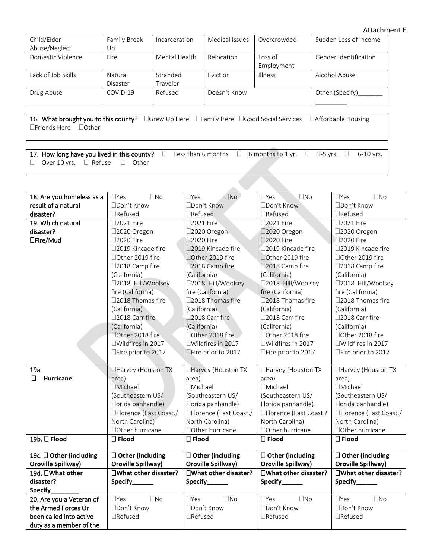Attachment E

| Child/Elder        | Family Break | Incarceration | Medical Issues | Overcrowded        | Sudden Loss of Income        |
|--------------------|--------------|---------------|----------------|--------------------|------------------------------|
| Abuse/Neglect      | Up           |               |                |                    |                              |
| Domestic Violence  | Fire         | Mental Health | Relocation     | $\mathsf{Loss}$ of | <b>Gender Identification</b> |
|                    |              |               |                | Employment         |                              |
| Lack of Job Skills | Natural      | Stranded      | Eviction       | <b>Illness</b>     | Alcohol Abuse                |
|                    | Disaster     | Traveler      |                |                    |                              |
| Drug Abuse         | COVID-19     | Refused       | Doesn't Know   |                    | Other:(Specify)              |
|                    |              |               |                |                    |                              |

16. What brought you to this county? Grew Up Here Family Here Good Social Services Affordable Housing Friends Here Other

17. How long have you lived in this county?  $\Box$  Less than 6 months  $\Box$  6 months to 1 yr.  $\Box$  1-5 yrs.  $\Box$  6-10 yrs.  $\Box$  Over 10 yrs.  $\Box$  Refuse  $\Box$  Other

| 18. Are you homeless as a  | $\square$ No<br>$\Box$ Yes | $\Box$ No<br>$\Box$ Yes       | $\square$ No<br>$\Box$ Yes | $\square$ Yes<br>$\square$ No |
|----------------------------|----------------------------|-------------------------------|----------------------------|-------------------------------|
| result of a natural        | □Don't Know                | □Don't Know                   | □Don't Know                | □Don't Know                   |
| disaster?                  | □Refused                   | □Refused                      | $\Box$ Refused             | $\Box$ Refused                |
| 19. Which natural          | □2021 Fire                 | □2021 Fire                    | □2021 Fire                 | □2021 Fire                    |
| disaster?                  | □2020 Oregon               | □2020 Oregon                  | □2020 Oregon               | □2020 Oregon                  |
| □Fire/Mud                  | □2020 Fire                 | □2020 Fire                    | □2020 Fire                 | □2020 Fire                    |
|                            | □2019 Kincade fire         | □2019 Kincade fire            | □2019 Kincade fire         | □2019 Kincade fire            |
|                            | □Other 2019 fire           | □Other 2019 fire              | □Other 2019 fire           | □Other 2019 fire              |
|                            | □2018 Camp fire            | □2018 Camp fire               | □2018 Camp fire            | □2018 Camp fire               |
|                            | (California)               | (California)                  | (California)               | (California)                  |
|                            | □2018 Hill/Woolsey         | □2018 Hill/Woolsey            | □2018 Hill/Woolsey         | □2018 Hill/Woolsey            |
|                            | fire (California)          | fire (California)             | fire (California)          | fire (California)             |
|                            | □2018 Thomas fire          | □2018 Thomas fire             | □2018 Thomas fire          | □2018 Thomas fire             |
|                            | (California)               | (California)                  | (California)               | (California)                  |
|                            | □2018 Carr fire            | □2018 Carr fire               | □2018 Carr fire            | □2018 Carr fire               |
|                            | (California)               | (California)                  | (California)               | (California)                  |
|                            | □Other 2018 fire           | □Other 2018 fire              | □Other 2018 fire           | □Other 2018 fire              |
|                            | □Wildfires in 2017         | □Wildfires in 2017            | □Wildfires in 2017         | □Wildfires in 2017            |
|                            | □Fire prior to 2017        | □Fire prior to 2017           | □Fire prior to 2017        | □Fire prior to 2017           |
|                            |                            |                               |                            |                               |
| 19a                        | □Harvey (Houston TX        | □Harvey (Houston TX           | □Harvey (Houston TX        | □Harvey (Houston TX           |
| $\Box$<br><b>Hurricane</b> | area)                      | area)                         | area)                      | area)                         |
|                            | <b>I</b> Michael           | □Michael                      | □Michael                   | □Michael                      |
|                            | (Southeastern US/          | (Southeastern US/             | (Southeastern US/          | (Southeastern US/             |
|                            | Florida panhandle)         | Florida panhandle)            | Florida panhandle)         | Florida panhandle)            |
|                            | □Florence (East Coast./    | □Florence (East Coast./       | □Florence (East Coast./    | □Florence (East Coast./       |
|                            | North Carolina)            | North Carolina)               | North Carolina)            | North Carolina)               |
|                            | □ Other hurricane          | □ Other hurricane             | □ Other hurricane          | □ Other hurricane             |
| 19b. □ Flood               | $\square$ Flood            | $\square$ Flood               | $\square$ Flood            | $\Box$ Flood                  |
| 19c. □ Other (including    | $\Box$ Other (including    | $\Box$ Other (including       | $\Box$ Other (including    | $\Box$ Other (including       |
| Oroville Spillway)         | <b>Oroville Spillway)</b>  | <b>Oroville Spillway)</b>     | Oroville Spillway)         | Oroville Spillway)            |
| 19d. □What other           | □What other disaster?      | □What other disaster?         | □What other disaster?      | □What other disaster?         |
| disaster?                  | Specify_____               | Specify______                 | Specify_                   | Specify_____                  |
| Specify                    |                            |                               |                            |                               |
| 20. Are you a Veteran of   | $\Box$ Yes<br>$\square$ No | $\square$ Yes<br>$\square$ No | $\Box$ Yes<br>$\square$ No | $\square$ No<br>$\Box$ Yes    |
| the Armed Forces Or        | □Don't Know                | □Don't Know                   | □Don't Know                | □Don't Know                   |
| been called into active    | □Refused                   | □Refused                      | $\Box$ Refused             | □Refused                      |
| duty as a member of the    |                            |                               |                            |                               |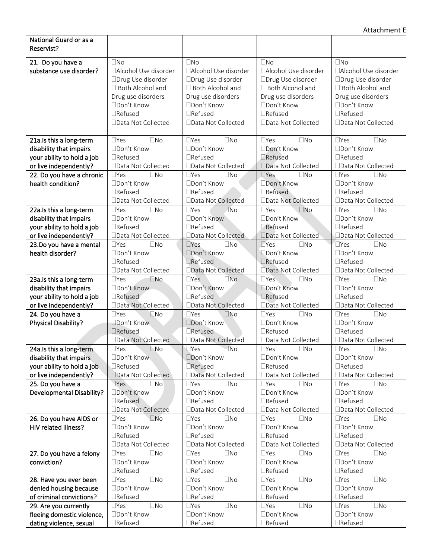| National Guard or as a<br>Reservist?         |                                           |                                           |                                             |                                           |
|----------------------------------------------|-------------------------------------------|-------------------------------------------|---------------------------------------------|-------------------------------------------|
|                                              |                                           |                                           |                                             |                                           |
| 21. Do you have a<br>substance use disorder? | $\square$ No<br>□Alcohol Use disorder     | $\square$ No<br>□Alcohol Use disorder     | $\square$ No<br>□Alcohol Use disorder       | $\square$ No<br>□Alcohol Use disorder     |
|                                              | □Drug Use disorder                        | □Drug Use disorder                        | □Drug Use disorder                          | □Drug Use disorder                        |
|                                              | □ Both Alcohol and                        | □ Both Alcohol and                        | □ Both Alcohol and                          | □ Both Alcohol and                        |
|                                              | Drug use disorders                        | Drug use disorders                        | Drug use disorders                          | Drug use disorders                        |
|                                              | □Don't Know                               | □Don't Know                               | □Don't Know                                 | □Don't Know                               |
|                                              | □Refused                                  | $\Box$ Refused                            | $\Box$ Refused                              | $\Box$ Refused                            |
|                                              | □Data Not Collected                       | □Data Not Collected                       | □Data Not Collected                         | □Data Not Collected                       |
|                                              |                                           |                                           |                                             |                                           |
| 21a.Is this a long-term                      | $\square$ No<br>$\Box$ Yes                | $\Box$ Yes<br>$\square$ No                | $\square$ No<br>$\Box$ Yes                  | $\square$ No<br>$\Box$ Yes                |
| disability that impairs                      | □Don't Know                               | □Don't Know                               | □Don't Know                                 | □Don't Know                               |
| your ability to hold a job                   | $\Box$ Refused                            | $\Box$ Refused                            | □Refused                                    | $\Box$ Refused                            |
| or live independently?                       | □Data Not Collected                       | □Data Not Collected                       | □Data Not Collected                         | □Data Not Collected                       |
| 22. Do you have a chronic                    | $\Box$ Yes<br>$\square$ No                | $\Box$ Yes<br>$\square$ No                | $\Box$ Yes<br>$\square$ No                  | $\square$ No<br>$\Box$ Yes                |
| health condition?                            | □Don't Know                               | □Don't Know                               | □Don't Know                                 | □Don't Know                               |
|                                              | $\Box$ Refused                            | $\Box$ Refused                            | $\Box$ Refused                              | $\Box$ Refused                            |
|                                              | □Data Not Collected                       | □Data Not Collected                       | □Data Not Collected                         | □Data Not Collected                       |
| 22a.Is this a long-term                      | $\Box$ Yes<br>$\square$ No                | $\Box$ Yes<br>$\square$ No                | $\Box$ Yes<br>$\square$ No                  | $\Box$ Yes<br>$\square$ No                |
| disability that impairs                      | □Don't Know                               | □Don't Know                               | □Don't Know                                 | □Don't Know                               |
| your ability to hold a job                   | $\Box$ Refused                            | $\Box$ Refused                            | □Refused                                    | $\Box$ Refused                            |
| or live independently?                       | □Data Not Collected                       | □Data Not Collected                       | □Data Not Collected                         | □Data Not Collected                       |
| 23.Do you have a mental<br>health disorder?  | $\Box$ Yes<br>$\square$ No<br>□Don't Know | $\square$ No<br>$\Box$ Yes<br>□Don't Know | $\square$ Yes<br>$\square$ No<br>Don't Know | $\square$ No<br>$\Box$ Yes<br>□Don't Know |
|                                              | □Refused                                  | □Refused                                  | □Refused                                    | $\Box$ Refused                            |
|                                              | □Data Not Collected                       | □Data Not Collected                       | □Data Not Collected                         | □Data Not Collected                       |
| 23a.Is this a long-term                      | $\square$ No<br>$\Box$ Yes                | $\Box$ Yes<br>$\square$ No                | $\Box$ Yes<br>$\square$ No                  | $\square$ No<br>$\Box$ Yes                |
| disability that impairs                      | □Don't Know                               | □Don't Know                               | □Don't Know                                 | □Don't Know                               |
| your ability to hold a job                   | □Refused                                  | $\Box$ Refused                            | □Refused                                    | $\Box$ Refused                            |
| or live independently?                       | □Data Not Collected                       | □Data Not Collected                       | □Data Not Collected                         | □Data Not Collected                       |
| 24. Do you have a                            | $\square$ No<br>$\Box$ Yes                | $\square$ No<br>$\Box$ Yes                | $\square$ No<br>$\Box$ Yes                  | $\Box$ Yes<br>$\square$ No                |
| Physical Disability?                         | □Don't Know                               | □Don't Know                               | □Don't Know                                 | □Don't Know                               |
|                                              | □Refused                                  | □Refused                                  | $\Box$ Refused                              | $\Box$ Refused                            |
|                                              | □Data Not Collected                       | □Data Not Collected                       | □Data Not Collected                         | □Data Not Collected                       |
| 24a. Is this a long-term                     | $\square$ Yes<br>$\square$ No             | $\square$ Yes<br>$\square$ No             | $\square$ Yes<br>$\square$ No               | $\square$ No<br>$\Box$ Yes                |
| disability that impairs                      | □Don't Know                               | □Don't Know                               | □Don't Know                                 | □Don't Know                               |
| your ability to hold a job                   | □Refused                                  | <b>TRefused</b>                           | □Refused                                    | □Refused                                  |
| or live independently?                       | □Data Not Collected                       | Data Not Collected                        | □Data Not Collected                         | □Data Not Collected                       |
| 25. Do you have a                            | $\n  Yes\n$<br>$\square$ No               | $\Box$ Yes<br>$\square$ No                | $\Box$ Yes<br>$\square$ No                  | $\square$ No<br>$\Box$ Yes                |
| <b>Developmental Disability?</b>             | □Don't Know                               | □Don't Know                               | □Don't Know                                 | □Don't Know                               |
|                                              | □Refused                                  | □Refused                                  | $\Box$ Refused                              | $\Box$ Refused                            |
|                                              | □Data Not Collected                       | □Data Not Collected                       | □Data Not Collected                         | □Data Not Collected                       |
| 26. Do you have AIDS or                      | $\square$ No<br>$\Box$ Yes                | $\square$ No<br>$\Box$ Yes<br>□Don't Know | $\Box$ Yes<br>$\square$ No                  | $\square$ No<br>$\Box$ Yes                |
| HIV related illness?                         | □Don't Know<br>□Refused                   | $\Box$ Refused                            | □Don't Know<br>$\Box$ Refused               | □Don't Know<br>$\Box$ Refused             |
|                                              | □Data Not Collected                       | □Data Not Collected                       | □Data Not Collected                         | □Data Not Collected                       |
| 27. Do you have a felony                     | $\Box$ Yes<br>$\square$ No                | $\square$ No<br>$\Box$ Yes                | $\Box$ Yes<br>$\square$ No                  | $\square$ No<br>$\Box$ Yes                |
| conviction?                                  | □Don't Know                               | □Don't Know                               | □Don't Know                                 | □Don't Know                               |
|                                              | $\Box$ Refused                            | $\Box$ Refused                            | □Refused                                    | $\Box$ Refused                            |
| 28. Have you ever been                       | $\square$ No<br>$\Box$ Yes                | $\square$ No<br>$\Box$ Yes                | $\square$ No<br>$\square$ Yes               | $\square$ No<br>$\Box$ Yes                |
| denied housing because                       | □Don't Know                               | □Don't Know                               | □Don't Know                                 | □Don't Know                               |
| of criminal convictions?                     | $\Box$ Refused                            | $\Box$ Refused                            | □Refused                                    | $\Box$ Refused                            |
| 29. Are you currently                        | $\square$ No<br>$\Box$ Yes                | $\square$ No<br>$\Box$ Yes                | $\square$ No<br>$\square$ Yes               | $\square$ No<br>$\Box$ Yes                |
| fleeing domestic violence,                   | □Don't Know                               | □Don't Know                               | □Don't Know                                 | □Don't Know                               |
| dating violence, sexual                      | □Refused                                  | $\Box$ Refused                            | □Refused                                    | □Refused                                  |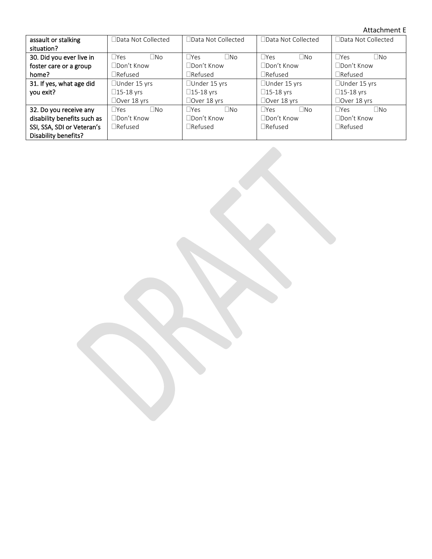#### Attachment E

| assault or stalking         | $\Box$ Data Not Collected  | □Data Not Collected     | □ Data Not Collected    | □Data Not Collected     |  |
|-----------------------------|----------------------------|-------------------------|-------------------------|-------------------------|--|
| situation?                  |                            |                         |                         |                         |  |
| 30. Did you ever live in    | $\Box$ Yes<br>$\square$ No | $\Box$ Yes<br>$\Box$ No | $\Box$ No<br>$\Box$ Yes | $\Box$ Yes<br><b>No</b> |  |
| foster care or a group      | $\Box$ Don't Know          | □Don't Know             | □Don't Know             | □Don't Know             |  |
| home?                       | $\Box$ Refused             | $\Box$ Refused          | $\Box$ Refused          | $\Box$ Refused          |  |
| 31. If yes, what age did    | □Under 15 yrs              | □Under 15 yrs           | □Under 15 yrs           | □Under 15 yrs           |  |
| you exit?                   | $\Box$ 15-18 yrs           | $\square$ 15-18 yrs     | $\square$ 15-18 yrs     | $\Box$ 15-18 yrs        |  |
|                             | $\Box$ Over 18 yrs         | □Over 18 yrs            | □Over 18 yrs            | $\Box$ Over 18 yrs      |  |
| 32. Do you receive any      | $\Box$ No<br>$\Box$ Yes    | $\Box$ No<br>$\Box$ Yes | $\Box$ No<br>$\Box$ Yes | $\Box$ Yes<br>$\Box$ No |  |
| disability benefits such as | □Don't Know                | □Don't Know             | □Don't Know             | □Don't Know             |  |
| SSI, SSA, SDI or Veteran's  | $\Box$ Refused             | $\Box$ Refused          | $\Box$ Refused          | $\Box$ Refused          |  |
| Disability benefits?        |                            |                         |                         |                         |  |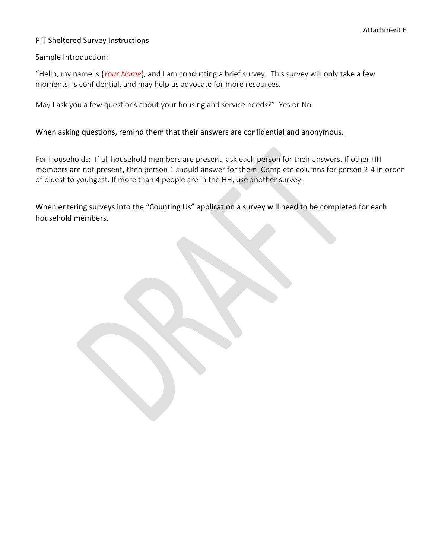#### PIT Sheltered Survey Instructions

#### Sample Introduction:

"Hello, my name is {*Your Name*}, and I am conducting a brief survey. This survey will only take a few moments, is confidential, and may help us advocate for more resources.

May I ask you a few questions about your housing and service needs?" Yes or No

#### When asking questions, remind them that their answers are confidential and anonymous.

For Households: If all household members are present, ask each person for their answers. If other HH members are not present, then person 1 should answer for them. Complete columns for person 2-4 in order of oldest to youngest. If more than 4 people are in the HH, use another survey.

When entering surveys into the "Counting Us" application a survey will need to be completed for each household members.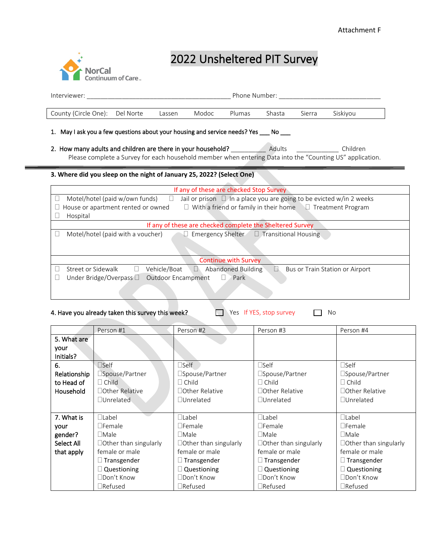

# 2022 Unsheltered PIT Survey

| Interviewer:                                                                                                                                                                                                                                          |           |                                           |       |                                                           | Phone Number: North School School |        |                                 |
|-------------------------------------------------------------------------------------------------------------------------------------------------------------------------------------------------------------------------------------------------------|-----------|-------------------------------------------|-------|-----------------------------------------------------------|-----------------------------------|--------|---------------------------------|
| County (Circle One):                                                                                                                                                                                                                                  | Del Norte | Lassen                                    | Modoc | Plumas                                                    | Shasta                            | Sierra | Siskiyou                        |
| May I ask you a few questions about your housing and service needs? Yes ____ No ____                                                                                                                                                                  |           |                                           |       |                                                           |                                   |        |                                 |
| 2. How many adults and children are there in your household? Adults<br>Children<br>Please complete a Survey for each household member when entering Data into the "Counting US" application.                                                          |           |                                           |       |                                                           |                                   |        |                                 |
| 3. Where did you sleep on the night of January 25, 2022? (Select One)                                                                                                                                                                                 |           |                                           |       |                                                           |                                   |        |                                 |
|                                                                                                                                                                                                                                                       |           |                                           |       | If any of these are checked Stop Survey                   |                                   |        |                                 |
| $\Box$<br>Motel/hotel (paid w/own funds)<br>Jail or prison $\Box$ In a place you are going to be evicted w/in 2 weeks<br>Ш<br>$\Box$ With a friend or family in their home $\Box$ Treatment Program<br>House or apartment rented or owned<br>Hospital |           |                                           |       |                                                           |                                   |        |                                 |
|                                                                                                                                                                                                                                                       |           |                                           |       | If any of these are checked complete the Sheltered Survey |                                   |        |                                 |
| Motel/hotel (paid with a voucher)<br>$\Box$ Emergency Shelter $\Box$ Transitional Housing                                                                                                                                                             |           |                                           |       |                                                           |                                   |        |                                 |
|                                                                                                                                                                                                                                                       |           |                                           |       | <b>Continue with Survey</b>                               |                                   |        |                                 |
| Street or Sidewalk<br>Under Bridge/Overpass $\square$                                                                                                                                                                                                 | $\Box$    | Vehicle/Boat<br><b>Outdoor Encampment</b> |       | Abandoned Building<br>$\Box$ Park                         | П.                                |        | Bus or Train Station or Airport |

| 4. Have you already taken this survey this week? | $\Box$ Yes If YES, stop survey | $\Box$ No |
|--------------------------------------------------|--------------------------------|-----------|
|--------------------------------------------------|--------------------------------|-----------|

|                  | Person #1                    | Person #2                    | Person #3                    | Person #4                    |
|------------------|------------------------------|------------------------------|------------------------------|------------------------------|
| 5. What are      |                              |                              |                              |                              |
| your             |                              |                              |                              |                              |
| Initials?        |                              |                              |                              |                              |
| 6.               | $\Box$ Self                  | $\square$ Self               | $\Box$ Self                  | $\Box$ Self                  |
| Relationship     | □Spouse/Partner              | □Spouse/Partner              | □Spouse/Partner              | $\square$ Spouse/Partner     |
| to Head of       | $\Box$ Child                 | $\Box$ Child                 | $\Box$ Child                 | $\Box$ Child                 |
| <b>Household</b> | □ Other Relative             | □ Other Relative             | □ Other Relative             | □ Other Relative             |
|                  | $\Box$ Unrelated             | □Unrelated                   | □Unrelated                   | □Unrelated                   |
|                  |                              |                              |                              |                              |
| 7. What is       | $\Box$ Label                 | $\Box$ Label                 | $\Box$ Label                 | $\Box$ Label                 |
| your             | $\Box$ Female                | $\Box$ Female                | $\Box$ Female                | $\Box$ Female                |
| gender?          | $\Box$ Male                  | $\Box$ Male                  | $\Box$ Male                  | $\Box$ Male                  |
| Select All       | $\Box$ Other than singularly | $\Box$ Other than singularly | $\Box$ Other than singularly | $\Box$ Other than singularly |
| that apply       | female or male               | female or male               | female or male               | female or male               |
|                  | $\Box$ Transgender           | $\Box$ Transgender           | $\Box$ Transgender           | $\Box$ Transgender           |
|                  | $\Box$ Questioning           | $\Box$ Questioning           | $\Box$ Questioning           | $\Box$ Questioning           |
|                  | □Don't Know                  | □Don't Know                  | □Don't Know                  | □Don't Know                  |
|                  | $\Box$ Refused               | $\Box$ Refused               | $\Box$ Refused               | $\Box$ Refused               |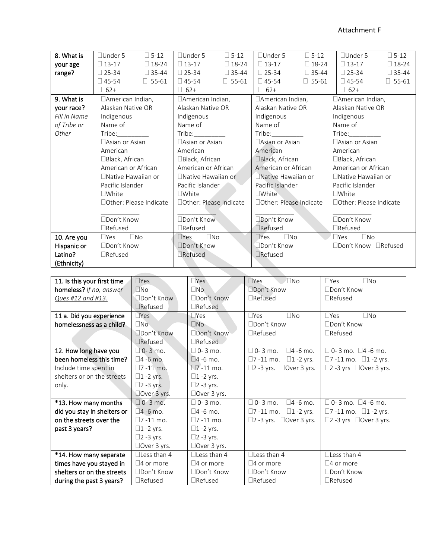| 8. What is   | $\Box$ Under 5             | $\square$ 5-12 | $\Box$ Under 5             | $\square$ 5-12 | $\Box$ Under 5              | $\square$ 5-12 |                     | $\Box$ Under 5             | $\square$ 5-12 |
|--------------|----------------------------|----------------|----------------------------|----------------|-----------------------------|----------------|---------------------|----------------------------|----------------|
| your age     | $\square$ 13-17            | $\Box$ 18-24   | $\Box$ 13-17               | $\Box$ 18-24   | $\square$ 13-17             | $\Box$ 18-24   |                     | $\Box$ 13-17               | $\Box$ 18-24   |
| range?       | $\Box$ 25-34               | $\Box$ 35-44   | $\square$ 25-34            | $\Box$ 35-44   | $\square$ 25-34             | $\Box$ 35-44   |                     | $\square$ 25-34            | $\Box$ 35-44   |
|              | $\Box$ 45-54               | $\Box$ 55-61   | $\Box$ 45-54               | $\Box$ 55-61   | $\Box$ 45-54                | $\Box$ 55-61   |                     | $\Box$ 45-54               | $\Box$ 55-61   |
|              |                            |                |                            |                |                             |                |                     |                            |                |
|              | $\Box$ 62+                 |                | $\Box$ 62+                 |                | $\Box$ 62+                  |                |                     | $\Box$ 62+                 |                |
| 9. What is   | □American Indian,          |                | □American Indian,          |                | $\Box$ American Indian,     |                |                     | □American Indian,          |                |
| your race?   | Alaskan Native OR          |                | Alaskan Native OR          |                | Alaskan Native OR           |                |                     | Alaskan Native OR          |                |
| Fill in Name | Indigenous                 |                | Indigenous                 |                | Indigenous                  |                |                     | Indigenous                 |                |
| of Tribe or  | Name of                    |                | Name of                    |                | Name of                     |                |                     | Name of                    |                |
| Other        | Tribe:                     |                |                            |                | $\text{Triple:}\_$          |                |                     | Tribe:                     |                |
|              | □ Asian or Asian           |                | □Asian or Asian            |                | □Asian or Asian             |                |                     | □ Asian or Asian           |                |
|              | American                   |                | American                   |                | American                    |                | American            |                            |                |
|              | □Black, African            |                | □Black, African            |                | □Black, African             |                | □Black, African     |                            |                |
|              | American or African        |                | American or African        |                | American or African         |                | American or African |                            |                |
|              | □ Native Hawaiian or       |                | □Native Hawaiian or        |                | □Native Hawaiian or         |                |                     | $\Box$ Native Hawaiian or  |                |
|              | Pacific Islander           |                | Pacific Islander           |                | Pacific Islander            |                | Pacific Islander    |                            |                |
|              | $\Box$ White               |                | $\Box$ White               |                | $\square$ White             |                |                     | $\Box$ White               |                |
|              | □ Other: Please Indicate   |                | □Other: Please Indicate    |                | □Other: Please Indicate     |                |                     | □ Other: Please Indicate   |                |
|              |                            |                |                            |                |                             |                |                     |                            |                |
|              | □Don't Know                |                | □Don't Know                |                | □Don't Know                 |                |                     | □Don't Know                |                |
|              | $\Box$ Refused             |                | $\Box$ Refused             |                | □Refused                    |                |                     | $\Box$ Refused             |                |
| 10. Are you  | $\square$ No<br>$\Box$ Yes |                | $\square$ No<br>$\Box$ Yes |                | $\square$ No<br>$\n  Yes\n$ |                |                     | $\square$ No<br>$\Box$ Yes |                |
| Hispanic or  | □Don't Know                |                | □Don't Know                |                | Don't Know                  |                |                     | □Don't Know □Refused       |                |
| Latino?      | $\Box$ Refused             |                | □Refused                   |                | $\Box$ Refused              |                |                     |                            |                |
| (Ethnicity)  |                            |                |                            |                |                             |                |                     |                            |                |

**Contract** 

| 11. Is this your first time | $\Box$ Yes          | $\n  Yes\n$         | $\square$ No<br>$\n  These\n$              | $\square$ No<br>$\Box Yes$               |
|-----------------------------|---------------------|---------------------|--------------------------------------------|------------------------------------------|
| homeless? If no, answer     | $\n  W$             | $\Box$ No           | □Don't Know                                | □Don't Know                              |
| Ques #12 and #13.           | □Don't Know         | □Don't Know         | $\Box$ Refused                             | $\Box$ Refused                           |
|                             | $\Box$ Refused      | $\Box$ Refused      |                                            |                                          |
| 11 a. Did you experience    | $\Box$ Yes          | $\square$ Yes       | $\Box$ No<br>$\Box$ Yes                    | $\Box$ No<br>$\Box$ Yes                  |
| homelessness as a child?    | $\n  No\n$          | $\Box$ No           | □Don't Know                                | □Don't Know                              |
|                             | □Don't Know         | □Don't Know         | $\Box$ Refused                             | $\Box$ Refused                           |
|                             | $\Box$ Refused      | $\Box$ Refused      |                                            |                                          |
| 12. How long have you       | $\Box$ 0-3 mo.      | $\Box$ 0-3 mo.      | $\square$ 4 -6 mo.<br>$\Box$ 0-3 mo.       | $\Box$ 0-3 mo. $\Box$ 4 -6 mo.           |
| been homeless this time?    | $\square$ 4 -6 mo.  | $\square$ 4 -6 mo.  | $\square$ 1 -2 yrs.<br>$\square$ 7 -11 mo. | □7 -11 mo. □1 -2 yrs.                    |
| Include time spent in       | $\square$ 7 -11 mo. | $\square$ 7 -11 mo. | $\square$ 2 -3 yrs. $\square$ Over 3 yrs.  | $\square$ 2 -3 yrs $\square$ Over 3 yrs. |
| shelters or on the streets  | $\square$ 1 -2 yrs. | $\square$ 1 -2 yrs. |                                            |                                          |
| only.                       | $\square$ 2 -3 yrs. | $\square$ 2 -3 yrs. |                                            |                                          |
|                             | $\Box$ Over 3 yrs.  | $\Box$ Over 3 yrs.  |                                            |                                          |
| *13. How many months        | $\Box$ 0-3 mo.      | $\Box$ 0-3 mo.      | $\square$ 4 -6 mo.<br>$\Box$ 0-3 mo.       | $\Box$ 0-3 mo. $\Box$ 4 -6 mo.           |
| did you stay in shelters or | $\square$ 4 -6 mo.  | $\square$ 4 -6 mo.  | $\square$ 7 -11 mo.<br>$\square$ 1 -2 yrs. | $\square$ 7 -11 mo. $\square$ 1 -2 yrs.  |
| on the streets over the     | $\Box$ 7 -11 mo.    | $\Box$ 7 -11 mo.    | $\square$ 2 -3 yrs. $\square$ Over 3 yrs.  | $\Box$ 2 -3 yrs $\Box$ Over 3 yrs.       |
| past 3 years?               | $\Box$ 1 -2 yrs.    | $\Box$ 1 -2 yrs.    |                                            |                                          |
|                             | $\square$ 2 -3 yrs. | $\square$ 2 -3 yrs. |                                            |                                          |
|                             | $\Box$ Over 3 yrs.  | $\Box$ Over 3 yrs.  |                                            |                                          |
| *14. How many separate      | $\Box$ Less than 4  | $\Box$ Less than 4  | $\Box$ Less than 4                         | $\Box$ Less than 4                       |
| times have you stayed in    | $\square$ 4 or more | $\Box$ 4 or more    | $\Box$ 4 or more                           | $\Box$ 4 or more                         |
| shelters or on the streets  | □Don't Know         | □Don't Know         | □Don't Know                                | □Don't Know                              |
| during the past 3 years?    | $\Box$ Refused      | $\Box$ Refused      | $\Box$ Refused                             | $\Box$ Refused                           |

 $\overline{\phantom{a}}$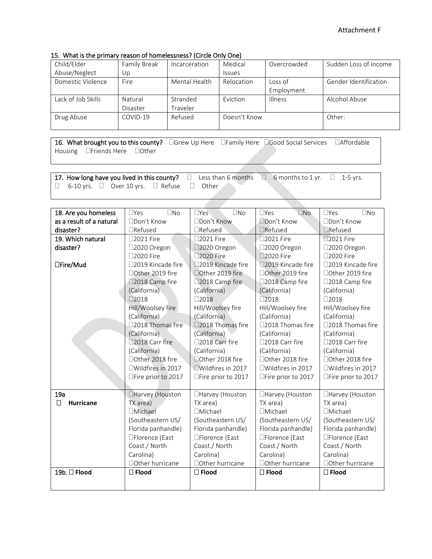#### 15. What is the primary reason of homelessness? (Circle Only One)

| Child/Elder        |              |               | Medical       | Overcrowded    | Sudden Loss of Income |
|--------------------|--------------|---------------|---------------|----------------|-----------------------|
|                    | Family Break | Incarceration |               |                |                       |
| Abuse/Neglect      | Up           |               | <b>Issues</b> |                |                       |
| Domestic Violence  | Fire         | Mental Health | Relocation    | Loss of        | Gender Identification |
|                    |              |               |               | Employment     |                       |
| Lack of Job Skills | Natural      | Stranded      | Eviction      | <b>Illness</b> | Alcohol Abuse         |
|                    | Disaster     | Traveler      |               |                |                       |
| Drug Abuse         | COVID-19     | Refused       | Doesn't Know  |                | Other:                |
|                    |              |               |               |                |                       |

16. What brought you to this county? <br>  $\Box$ Grew Up Here  $\Box$ Family Here  $\Box$ Good Social Services  $\Box$ Affordable Housing **Deal** Friends Here Dother

17. How long have you lived in this county?  $\Box$  Less than 6 months  $\Box$  6 months to 1 yr.  $\Box$  1-5 yrs.  $\Box$  6-10 yrs.  $\Box$  Over 10 yrs.  $\Box$  Refuse  $\Box$  Other

| 18. Are you homeless     | $\square$ No<br>$\Box$ Yes | $\square$ No<br>$\Box$ Yes  | $\square$ No<br>$\Box$ Yes | $\square$ No<br>$\Box$ Yes |
|--------------------------|----------------------------|-----------------------------|----------------------------|----------------------------|
| as a result of a natural | □Don't Know                | □Don't Know                 | □Don't Know                | □Don't Know                |
| disaster?                | $\Box$ Refused             | $\Box$ Refused              | □Refused                   | $\Box$ Refused             |
| 19. Which natural        | □2021 Fire                 | □2021 Fire                  | □2021 Fire                 | □2021 Fire                 |
| disaster?                | □2020 Oregon               | □2020 Oregon                | □2020 Oregon               | □2020 Oregon               |
|                          | □2020 Fire                 | 2020 Fire                   | □2020 Fire                 | □2020 Fire                 |
| □Fire/Mud                | □2019 Kincade fire         | □2019 Kincade fire          | □2019 Kincade fire         | □2019 Kincade fire         |
|                          | □Other 2019 fire           | □Other 2019 fire            | □Other 2019 fire           | □Other 2019 fire           |
|                          | □2018 Camp fire            | □2018 Camp fire             | □2018 Camp fire            | □2018 Camp fire            |
|                          | (California)               | (California)                | (California)               | (California)               |
|                          | $\square$ 2018             | $\Box 2018$                 | $\Box 2018$                | $\square$ 2018             |
|                          | Hill/Woolsey fire          | Hill/Woolsey fire           | Hill/Woolsey fire          | Hill/Woolsey fire          |
|                          | (California)               | (California)                | (California)               | (California)               |
|                          | □2018 Thomas fire          | □2018 Thomas fire           | □2018 Thomas fire          | □2018 Thomas fire          |
|                          | (California)               | (California)                | (California)               | (California)               |
|                          | □2018 Carr fire            | □2018 Carr fire             | □2018 Carr fire            | □2018 Carr fire            |
|                          | (California)               | (California)                | (California)               | (California)               |
|                          | □Other 2018 fire           | □Other 2018 fire            | □Other 2018 fire           | □Other 2018 fire           |
|                          | □Wildfires in 2017         | $\square$ Wildfires in 2017 | $\Box$ Wildfires in 2017   | $\Box$ Wildfires in 2017   |
|                          | □Fire prior to 2017        | □Fire prior to 2017         | □Fire prior to 2017        | □Fire prior to 2017        |
|                          |                            |                             |                            |                            |
| 19a                      | □Harvey (Houston           | □Harvey (Houston            | □Harvey (Houston           | □Harvey (Houston           |
| П<br><b>Hurricane</b>    | TX area)                   | TX area)                    | TX area)                   | TX area)                   |
|                          | <b>□Michael</b>            | <b>□Michael</b>             | □Michael                   | <b>TMichael</b>            |
|                          | (Southeastern US/          | (Southeastern US/           | (Southeastern US/          | (Southeastern US/          |
|                          | Florida panhandle)         | Florida panhandle)          | Florida panhandle)         | Florida panhandle)         |
|                          | □Florence (East            | □Florence (East             | □Florence (East            | □Florence (East            |
|                          | Coast./ North              | Coast./ North               | Coast./ North              | Coast./ North              |
|                          | Carolina)                  | Carolina)                   | Carolina)                  | Carolina)                  |
|                          | □ Other hurricane          | □ Other hurricane           | □ Other hurricane          | □ Other hurricane          |
| 19b. □ Flood             | $\square$ Flood            | $\square$ Flood             | $\square$ Flood            | $\square$ Flood            |
|                          |                            |                             |                            |                            |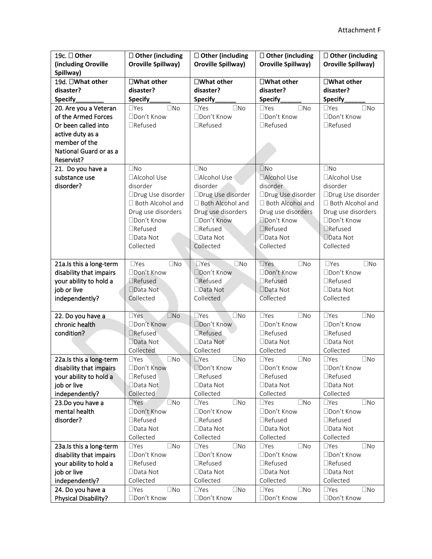| 19c. □ Other            | $\Box$ Other (including     | $\Box$ Other (including       | $\Box$ Other (including       | $\Box$ Other (including    |
|-------------------------|-----------------------------|-------------------------------|-------------------------------|----------------------------|
| (including Oroville     | Oroville Spillway)          | <b>Oroville Spillway)</b>     | Oroville Spillway)            | <b>Oroville Spillway)</b>  |
| Spillway)               |                             |                               |                               |                            |
| 19d. □What other        | $\square$ What other        | $\square$ What other          | $\square$ What other          | $\square$ What other       |
| disaster?               | disaster?                   | disaster?                     | disaster?                     | disaster?                  |
| Specify                 | Specify                     | Specify                       | Specify                       | Specify                    |
| 20. Are you a Veteran   | $\Box$ Yes<br>$\square$ No  | $\square$ No<br>$\Box$ Yes    | $\Box$ Yes<br>$\square$ No    | $\Box$ Yes<br>$\square$ No |
| of the Armed Forces     | □Don't Know                 | □Don't Know                   | □Don't Know                   | □Don't Know                |
| Or been called into     | $\Box$ Refused              | $\Box$ Refused                | □Refused                      | $\Box$ Refused             |
| active duty as a        |                             |                               |                               |                            |
| member of the           |                             |                               |                               |                            |
| National Guard or as a  |                             |                               |                               |                            |
| Reservist?              |                             |                               |                               |                            |
| 21. Do you have a       | $\square$ No                | $\square$ No                  | $\square$ No                  | $\square$ No               |
| substance use           | □Alcohol Use                | □Alcohol Use                  | □Alcohol Use                  | □Alcohol Use               |
| disorder?               | disorder                    | disorder                      | disorder                      | disorder                   |
|                         | □Drug Use disorder          | □Drug Use disorder            | □Drug Use disorder            | □Drug Use disorder         |
|                         | □ Both Alcohol and          | □ Both Alcohol and            | □ Both Alcohol and            | □ Both Alcohol and         |
|                         | Drug use disorders          | Drug use disorders            | Drug use disorders            | Drug use disorders         |
|                         | □Don't Know                 | □Don't Know                   | Don't Know                    | □Don't Know                |
|                         | $\Box$ Refused              | □Refused                      | □Refused                      | □Refused                   |
|                         | □Data Not                   | □Data Not                     | □Data Not                     | □Data Not                  |
|                         | Collected                   | Collected                     | Collected                     | Collected                  |
|                         |                             |                               |                               |                            |
| 21a.Is this a long-term | $\Box$ Yes<br>$\square$ No  | $T$ Yes<br>$\square$ No       | $\Box$ Yes<br>$\square$ No    | $\Box$ Yes<br>$\square$ No |
| disability that impairs | □Don't Know                 | □Don't Know                   | □Don't Know                   | □Don't Know                |
| your ability to hold a  | □Refused                    | □Refused                      | $\Box$ Refused                | $\Box$ Refused             |
| job or live             | □Data Not                   | □Data Not                     | □Data Not                     | □Data Not                  |
| independently?          | Collected                   | Collected                     | Collected                     | Collected                  |
|                         |                             |                               |                               |                            |
| 22. Do you have a       | $\Box$ Yes<br>$\square$ No  | $\square$ No<br>$\Box$ Yes    | $\Box$ Yes<br>$\square$ No    | $\Box$ Yes<br>$\square$ No |
| chronic health          | □Don't Know                 | □Don't Know                   | □Don't Know                   | □Don't Know                |
| condition?              | $\Box$ Refused              | □Refused                      | $\Box$ Refused                | $\Box$ Refused             |
|                         | □Data Not                   | □Data Not                     | □Data Not                     | □Data Not                  |
|                         | Collected                   | Collected                     | Collected                     | Collected                  |
| 22a.Is this a long-term | $\Box$ No<br>$\Box$ Yes     | $\square$ No<br>$\square$ Yes | $\square$ No<br>$\square$ Yes | $\square$ No<br>$\Box$ Yes |
| disability that impairs | □Don't Know                 | Don't Know                    | □Don't Know                   | □Don't Know                |
| your ability to hold a  | $\Box$ Refused              | $\Box$ Refused                | $\Box$ Refused                | $\Box$ Refused             |
| job or live             | □Data Not                   | $\Box$ Data Not               | □Data Not                     | $\Box$ Data Not            |
| independently?          | Collected                   | Collected                     | Collected                     | Collected                  |
| 23.Do you have a        | $\n  Yes\n$<br>$\square$ No | $\Box$ Yes<br>$\square$ No    | $\square$ Yes<br>$\square$ No | $\Box$ Yes<br>$\square$ No |
| mental health           | □Don't Know                 | □Don't Know                   | □Don't Know                   | □Don't Know                |
| disorder?               | $\Box$ Refused              | $\Box$ Refused                | $\Box$ Refused                | □Refused                   |
|                         | □Data Not                   | $\Box$ Data Not               | $\Box$ Data Not               | □Data Not                  |
|                         | Collected                   | Collected                     | Collected                     | Collected                  |
| 23a.Is this a long-term | $\Box$ Yes<br>$\square$ No  | $\Box$ Yes<br>$\square$ No    | $\square$ Yes<br>$\square$ No | $\Box$ Yes<br>$\square$ No |
| disability that impairs | □Don't Know                 | □Don't Know                   | □Don't Know                   | □Don't Know                |
| your ability to hold a  | $\Box$ Refused              | $\Box$ Refused                | □Refused                      | $\Box$ Refused             |
| job or live             | □Data Not                   | $\Box$ Data Not               | □Data Not                     | $\Box$ Data Not            |
| independently?          | Collected                   | Collected                     | Collected                     | Collected                  |
| 24. Do you have a       | $\square$ No<br>$\Box$ Yes  | $\Box$ Yes<br>$\square$ No    | $\Box$ Yes<br>$\square$       | $\Box$ Yes<br>$\Box$ No    |
| Physical Disability?    | □Don't Know                 | □Don't Know                   | □Don't Know                   | □Don't Know                |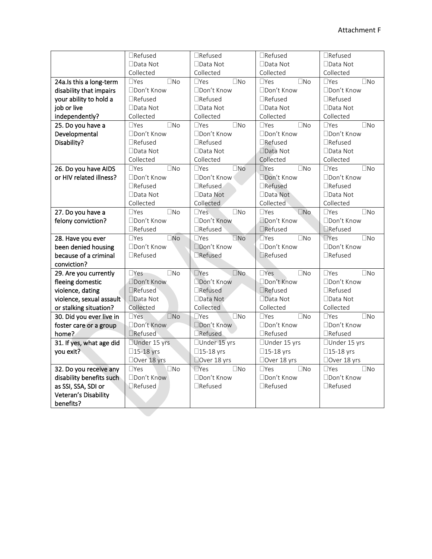|                          | □Refused                   | □Refused                      | □Refused                   | □Refused                   |
|--------------------------|----------------------------|-------------------------------|----------------------------|----------------------------|
|                          | □Data Not                  | □Data Not                     | □Data Not                  | □Data Not                  |
|                          | Collected                  | Collected                     | Collected                  | Collected                  |
| 24a.Is this a long-term  | $\Box$ Yes<br>$\square$ No | $\square$ No<br>$\Box$ Yes    | $\square$ No<br>$\Box$ Yes | $\square$ No<br>$\Box$ Yes |
| disability that impairs  | □Don't Know                | □Don't Know                   | □Don't Know                | □Don't Know                |
| your ability to hold a   | $\Box$ Refused             | □Refused                      | $\Box$ Refused             | $\Box$ Refused             |
| job or live              | □Data Not                  | $\Box$ Data Not               | □Data Not                  | □Data Not                  |
| independently?           | Collected                  | Collected                     | Collected                  | Collected                  |
| 25. Do you have a        | $\square$ No<br>$\Box$ Yes | $\Box$ Yes<br>$\square$ No    | $\Box$ Yes<br>$\square$ No | $\square$ No<br>$\Box$ Yes |
| Developmental            | □Don't Know                | □Don't Know                   | □Don't Know                | □Don't Know                |
| Disability?              | $\Box$ Refused             | $\Box$ Refused                | □Refused                   | $\Box$ Refused             |
|                          | $\Box$ Data Not            | $\Box$ Data Not               | □Data Not                  | $\Box$ Data Not            |
|                          | Collected                  | Collected                     | Collected                  | Collected                  |
| 26. Do you have AIDS     | $\square$ No<br>$\Box$ Yes | $\square$ No<br>$\Box$ Yes    | $\Box$ Yes<br>$\square$ No | $\square$ No<br>$\Box$ Yes |
| or HIV related illness?  | □Don't Know                | □Don't Know                   | □Don't Know                | □Don't Know                |
|                          | $\Box$ Refused             | □Refused                      | □Refused                   | $\Box$ Refused             |
|                          | $\Box$ Data Not            | $\Box$ Data Not               | $\Box$ Data Not            | □Data Not                  |
|                          | Collected                  | Collected                     | Collected                  | Collected                  |
| 27. Do you have a        | $\Box$ Yes<br>$\square$ No | $\square$ No<br>$\Box$ Yes    | $\square$ No<br>$\Box$ Yes | $\square$ No<br>$\Box$ Yes |
| felony conviction?       | □Don't Know                | □Don't Know                   | Don't Know                 | □Don't Know                |
|                          | $\Box$ Refused             | □Refused                      | □Refused                   | □Refused                   |
| 28. Have you ever        | $\square$ No<br>$\Box$ Yes | $\square$ No<br>$\Box$ Yes    | $\square$ No<br>$\Box$ Yes | $\square$ No<br>$\Box$ Yes |
| been denied housing      | □Don't Know                | □Don't Know                   | □Don't Know                | □Don't Know                |
| because of a criminal    | $\Box$ Refused             | Refused                       | □Refused                   | $\Box$ Refused             |
| conviction?              |                            |                               |                            |                            |
| 29. Are you currently    | $\Box$ Yes<br>$\square$ No | $\square$ No<br>$\Box$ Yes    | $\Box$ Yes<br>$\square$ No | $\Box$ Yes<br>$\square$ No |
| fleeing domestic         | □Don't Know                | Don't Know                    | □Don't Know                | □Don't Know                |
| violence, dating         | □Refused                   | □Refused                      | □Refused                   | □Refused                   |
| violence, sexual assault | □Data Not                  | □Data Not                     | □Data Not                  | □Data Not                  |
| or stalking situation?   | Collected                  | Collected                     | Collected                  | Collected                  |
| 30. Did you ever live in | $\Box$ Yes<br>$\square$ No | $\square$ No<br>$\square$ Yes | $\Box$ Yes<br>$\square$ No | $\square$ No<br>$\Box$ Yes |
| foster care or a group   | □Don't Know                | □Don't Know                   | □Don't Know                | □Don't Know                |
| home?                    | □Refused                   | <b>TRefused</b>               | □Refused                   | $\Box$ Refused             |
| 31. If yes, what age did | □Under 15 yrs              | □Under 15 yrs                 | □Under 15 yrs              | □Under 15 yrs              |
| you exit?                | □15-18 yrs                 | □15-18 yrs                    | □15-18 yrs                 | □15-18 yrs                 |
|                          | □Over 18 yrs               | Over 18 yrs                   | □Over 18 yrs               | □Over 18 yrs               |
|                          |                            |                               |                            | $\square$ No<br>$\Box$ Yes |
| 32. Do you receive any   | $\square$ No<br>$\Box$ Yes | $\square$ Yes<br>$\square$ No | $\square$ No<br>$\Box$ Yes |                            |
| disability benefits such | □Don't Know                | □Don't Know                   | □Don't Know                | □Don't Know                |
| as SSI, SSA, SDI or      | <b>I</b> Refused           | □Refused                      | $\Box$ Refused             | $\Box$ Refused             |
| Veteran's Disability     |                            |                               |                            |                            |
| benefits?                |                            |                               |                            |                            |